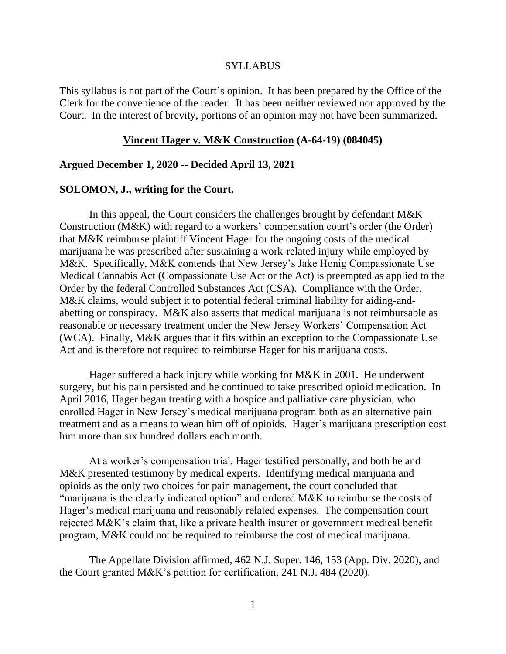#### SYLLABUS

This syllabus is not part of the Court's opinion. It has been prepared by the Office of the Clerk for the convenience of the reader. It has been neither reviewed nor approved by the Court. In the interest of brevity, portions of an opinion may not have been summarized.

#### **Vincent Hager v. M&K Construction (A-64-19) (084045)**

#### **Argued December 1, 2020 -- Decided April 13, 2021**

#### **SOLOMON, J., writing for the Court.**

In this appeal, the Court considers the challenges brought by defendant M&K Construction (M&K) with regard to a workers' compensation court's order (the Order) that M&K reimburse plaintiff Vincent Hager for the ongoing costs of the medical marijuana he was prescribed after sustaining a work-related injury while employed by M&K. Specifically, M&K contends that New Jersey's Jake Honig Compassionate Use Medical Cannabis Act (Compassionate Use Act or the Act) is preempted as applied to the Order by the federal Controlled Substances Act (CSA). Compliance with the Order, M&K claims, would subject it to potential federal criminal liability for aiding-andabetting or conspiracy. M&K also asserts that medical marijuana is not reimbursable as reasonable or necessary treatment under the New Jersey Workers' Compensation Act (WCA). Finally, M&K argues that it fits within an exception to the Compassionate Use Act and is therefore not required to reimburse Hager for his marijuana costs.

Hager suffered a back injury while working for M&K in 2001. He underwent surgery, but his pain persisted and he continued to take prescribed opioid medication. In April 2016, Hager began treating with a hospice and palliative care physician, who enrolled Hager in New Jersey's medical marijuana program both as an alternative pain treatment and as a means to wean him off of opioids. Hager's marijuana prescription cost him more than six hundred dollars each month.

At a worker's compensation trial, Hager testified personally, and both he and M&K presented testimony by medical experts. Identifying medical marijuana and opioids as the only two choices for pain management, the court concluded that "marijuana is the clearly indicated option" and ordered M&K to reimburse the costs of Hager's medical marijuana and reasonably related expenses. The compensation court rejected M&K's claim that, like a private health insurer or government medical benefit program, M&K could not be required to reimburse the cost of medical marijuana.

The Appellate Division affirmed, 462 N.J. Super. 146, 153 (App. Div. 2020), and the Court granted M&K's petition for certification, 241 N.J. 484 (2020).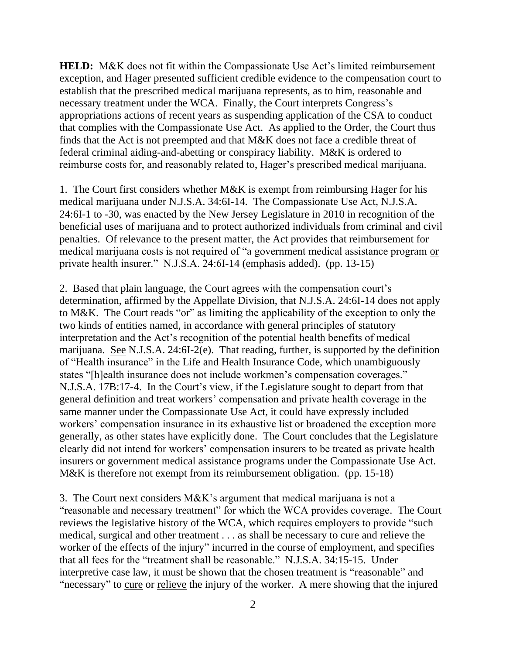**HELD:** M&K does not fit within the Compassionate Use Act's limited reimbursement exception, and Hager presented sufficient credible evidence to the compensation court to establish that the prescribed medical marijuana represents, as to him, reasonable and necessary treatment under the WCA. Finally, the Court interprets Congress's appropriations actions of recent years as suspending application of the CSA to conduct that complies with the Compassionate Use Act. As applied to the Order, the Court thus finds that the Act is not preempted and that M&K does not face a credible threat of federal criminal aiding-and-abetting or conspiracy liability. M&K is ordered to reimburse costs for, and reasonably related to, Hager's prescribed medical marijuana.

1. The Court first considers whether M&K is exempt from reimbursing Hager for his medical marijuana under N.J.S.A. 34:6I-14. The Compassionate Use Act, N.J.S.A. 24:6I-1 to -30, was enacted by the New Jersey Legislature in 2010 in recognition of the beneficial uses of marijuana and to protect authorized individuals from criminal and civil penalties. Of relevance to the present matter, the Act provides that reimbursement for medical marijuana costs is not required of "a government medical assistance program or private health insurer." N.J.S.A. 24:6I-14 (emphasis added). (pp. 13-15)

2. Based that plain language, the Court agrees with the compensation court's determination, affirmed by the Appellate Division, that N.J.S.A. 24:6I-14 does not apply to M&K. The Court reads "or" as limiting the applicability of the exception to only the two kinds of entities named, in accordance with general principles of statutory interpretation and the Act's recognition of the potential health benefits of medical marijuana. See N.J.S.A. 24:6I-2(e). That reading, further, is supported by the definition of "Health insurance" in the Life and Health Insurance Code, which unambiguously states "[h]ealth insurance does not include workmen's compensation coverages." N.J.S.A. 17B:17-4. In the Court's view, if the Legislature sought to depart from that general definition and treat workers' compensation and private health coverage in the same manner under the Compassionate Use Act, it could have expressly included workers' compensation insurance in its exhaustive list or broadened the exception more generally, as other states have explicitly done. The Court concludes that the Legislature clearly did not intend for workers' compensation insurers to be treated as private health insurers or government medical assistance programs under the Compassionate Use Act. M&K is therefore not exempt from its reimbursement obligation. (pp. 15-18)

3. The Court next considers M&K's argument that medical marijuana is not a "reasonable and necessary treatment" for which the WCA provides coverage. The Court reviews the legislative history of the WCA, which requires employers to provide "such medical, surgical and other treatment . . . as shall be necessary to cure and relieve the worker of the effects of the injury" incurred in the course of employment, and specifies that all fees for the "treatment shall be reasonable." N.J.S.A. 34:15-15. Under interpretive case law, it must be shown that the chosen treatment is "reasonable" and "necessary" to cure or relieve the injury of the worker. A mere showing that the injured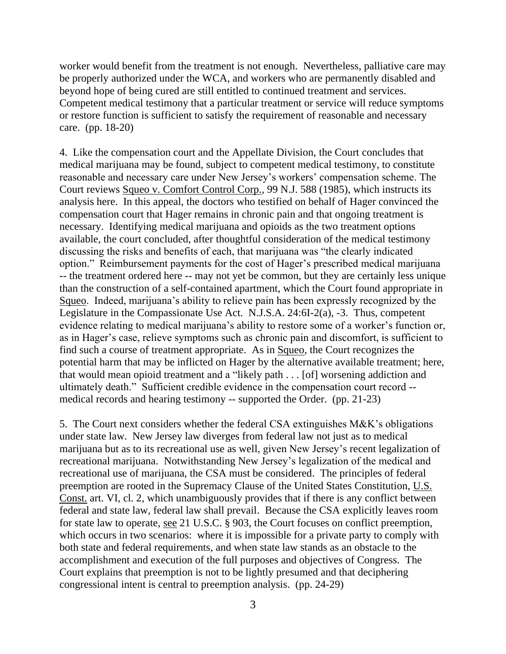worker would benefit from the treatment is not enough. Nevertheless, palliative care may be properly authorized under the WCA, and workers who are permanently disabled and beyond hope of being cured are still entitled to continued treatment and services. Competent medical testimony that a particular treatment or service will reduce symptoms or restore function is sufficient to satisfy the requirement of reasonable and necessary care. (pp. 18-20)

4. Like the compensation court and the Appellate Division, the Court concludes that medical marijuana may be found, subject to competent medical testimony, to constitute reasonable and necessary care under New Jersey's workers' compensation scheme. The Court reviews Squeo v. Comfort Control Corp., 99 N.J. 588 (1985), which instructs its analysis here. In this appeal, the doctors who testified on behalf of Hager convinced the compensation court that Hager remains in chronic pain and that ongoing treatment is necessary. Identifying medical marijuana and opioids as the two treatment options available, the court concluded, after thoughtful consideration of the medical testimony discussing the risks and benefits of each, that marijuana was "the clearly indicated option." Reimbursement payments for the cost of Hager's prescribed medical marijuana -- the treatment ordered here -- may not yet be common, but they are certainly less unique than the construction of a self-contained apartment, which the Court found appropriate in Squeo. Indeed, marijuana's ability to relieve pain has been expressly recognized by the Legislature in the Compassionate Use Act. N.J.S.A. 24:6I-2(a), -3. Thus, competent evidence relating to medical marijuana's ability to restore some of a worker's function or, as in Hager's case, relieve symptoms such as chronic pain and discomfort, is sufficient to find such a course of treatment appropriate. As in Squeo, the Court recognizes the potential harm that may be inflicted on Hager by the alternative available treatment; here, that would mean opioid treatment and a "likely path . . . [of] worsening addiction and ultimately death." Sufficient credible evidence in the compensation court record - medical records and hearing testimony -- supported the Order. (pp. 21-23)

5. The Court next considers whether the federal CSA extinguishes M&K's obligations under state law. New Jersey law diverges from federal law not just as to medical marijuana but as to its recreational use as well, given New Jersey's recent legalization of recreational marijuana. Notwithstanding New Jersey's legalization of the medical and recreational use of marijuana, the CSA must be considered. The principles of federal preemption are rooted in the Supremacy Clause of the United States Constitution, U.S. Const. art. VI, cl. 2, which unambiguously provides that if there is any conflict between federal and state law, federal law shall prevail. Because the CSA explicitly leaves room for state law to operate, see 21 U.S.C. § 903, the Court focuses on conflict preemption, which occurs in two scenarios: where it is impossible for a private party to comply with both state and federal requirements, and when state law stands as an obstacle to the accomplishment and execution of the full purposes and objectives of Congress. The Court explains that preemption is not to be lightly presumed and that deciphering congressional intent is central to preemption analysis. (pp. 24-29)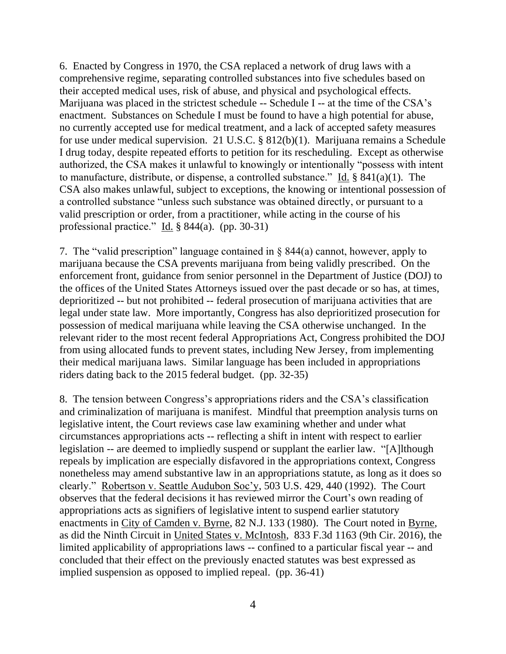6. Enacted by Congress in 1970, the CSA replaced a network of drug laws with a comprehensive regime, separating controlled substances into five schedules based on their accepted medical uses, risk of abuse, and physical and psychological effects. Marijuana was placed in the strictest schedule -- Schedule I -- at the time of the CSA's enactment. Substances on Schedule I must be found to have a high potential for abuse, no currently accepted use for medical treatment, and a lack of accepted safety measures for use under medical supervision. 21 U.S.C. § 812(b)(1). Marijuana remains a Schedule I drug today, despite repeated efforts to petition for its rescheduling. Except as otherwise authorized, the CSA makes it unlawful to knowingly or intentionally "possess with intent to manufacture, distribute, or dispense, a controlled substance." Id. § 841(a)(1). The CSA also makes unlawful, subject to exceptions, the knowing or intentional possession of a controlled substance "unless such substance was obtained directly, or pursuant to a valid prescription or order, from a practitioner, while acting in the course of his professional practice." Id. § 844(a). (pp. 30-31)

7. The "valid prescription" language contained in § 844(a) cannot, however, apply to marijuana because the CSA prevents marijuana from being validly prescribed. On the enforcement front, guidance from senior personnel in the Department of Justice (DOJ) to the offices of the United States Attorneys issued over the past decade or so has, at times, deprioritized -- but not prohibited -- federal prosecution of marijuana activities that are legal under state law. More importantly, Congress has also deprioritized prosecution for possession of medical marijuana while leaving the CSA otherwise unchanged. In the relevant rider to the most recent federal Appropriations Act, Congress prohibited the DOJ from using allocated funds to prevent states, including New Jersey, from implementing their medical marijuana laws. Similar language has been included in appropriations riders dating back to the 2015 federal budget. (pp. 32-35)

8. The tension between Congress's appropriations riders and the CSA's classification and criminalization of marijuana is manifest. Mindful that preemption analysis turns on legislative intent, the Court reviews case law examining whether and under what circumstances appropriations acts -- reflecting a shift in intent with respect to earlier legislation -- are deemed to impliedly suspend or supplant the earlier law. "[A]lthough repeals by implication are especially disfavored in the appropriations context, Congress nonetheless may amend substantive law in an appropriations statute, as long as it does so clearly." Robertson v. Seattle Audubon Soc'y, 503 U.S. 429, 440 (1992). The Court observes that the federal decisions it has reviewed mirror the Court's own reading of appropriations acts as signifiers of legislative intent to suspend earlier statutory enactments in City of Camden v. Byrne, 82 N.J. 133 (1980). The Court noted in Byrne, as did the Ninth Circuit in United States v. McIntosh, 833 F.3d 1163 (9th Cir. 2016), the limited applicability of appropriations laws -- confined to a particular fiscal year -- and concluded that their effect on the previously enacted statutes was best expressed as implied suspension as opposed to implied repeal. (pp. 36-41)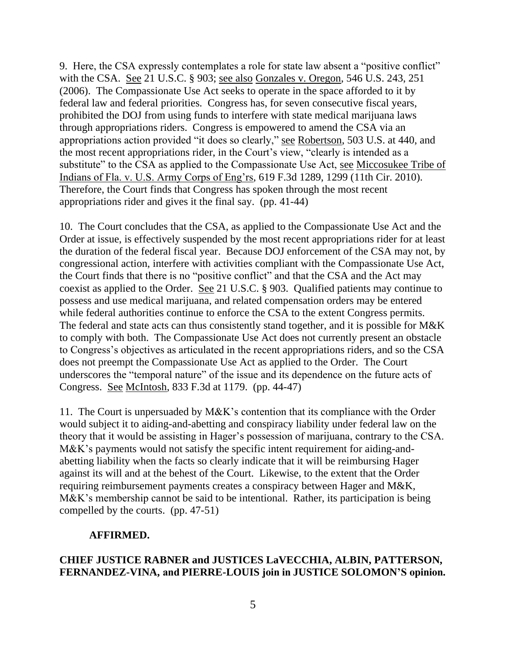9. Here, the CSA expressly contemplates a role for state law absent a "positive conflict" with the CSA. See 21 U.S.C. § 903; see also Gonzales v. Oregon, 546 U.S. 243, 251 (2006). The Compassionate Use Act seeks to operate in the space afforded to it by federal law and federal priorities. Congress has, for seven consecutive fiscal years, prohibited the DOJ from using funds to interfere with state medical marijuana laws through appropriations riders. Congress is empowered to amend the CSA via an appropriations action provided "it does so clearly," see Robertson, 503 U.S. at 440, and the most recent appropriations rider, in the Court's view, "clearly is intended as a substitute" to the CSA as applied to the Compassionate Use Act, see Miccosukee Tribe of Indians of Fla. v. U.S. Army Corps of Eng'rs, 619 F.3d 1289, 1299 (11th Cir. 2010). Therefore, the Court finds that Congress has spoken through the most recent appropriations rider and gives it the final say. (pp. 41-44)

10. The Court concludes that the CSA, as applied to the Compassionate Use Act and the Order at issue, is effectively suspended by the most recent appropriations rider for at least the duration of the federal fiscal year. Because DOJ enforcement of the CSA may not, by congressional action, interfere with activities compliant with the Compassionate Use Act, the Court finds that there is no "positive conflict" and that the CSA and the Act may coexist as applied to the Order. See 21 U.S.C. § 903. Qualified patients may continue to possess and use medical marijuana, and related compensation orders may be entered while federal authorities continue to enforce the CSA to the extent Congress permits. The federal and state acts can thus consistently stand together, and it is possible for M&K to comply with both. The Compassionate Use Act does not currently present an obstacle to Congress's objectives as articulated in the recent appropriations riders, and so the CSA does not preempt the Compassionate Use Act as applied to the Order. The Court underscores the "temporal nature" of the issue and its dependence on the future acts of Congress. See McIntosh, 833 F.3d at 1179. (pp. 44-47)

11. The Court is unpersuaded by M&K's contention that its compliance with the Order would subject it to aiding-and-abetting and conspiracy liability under federal law on the theory that it would be assisting in Hager's possession of marijuana, contrary to the CSA. M&K's payments would not satisfy the specific intent requirement for aiding-andabetting liability when the facts so clearly indicate that it will be reimbursing Hager against its will and at the behest of the Court. Likewise, to the extent that the Order requiring reimbursement payments creates a conspiracy between Hager and M&K, M&K's membership cannot be said to be intentional. Rather, its participation is being compelled by the courts. (pp. 47-51)

# **AFFIRMED.**

# **CHIEF JUSTICE RABNER and JUSTICES LaVECCHIA, ALBIN, PATTERSON, FERNANDEZ-VINA, and PIERRE-LOUIS join in JUSTICE SOLOMON'S opinion.**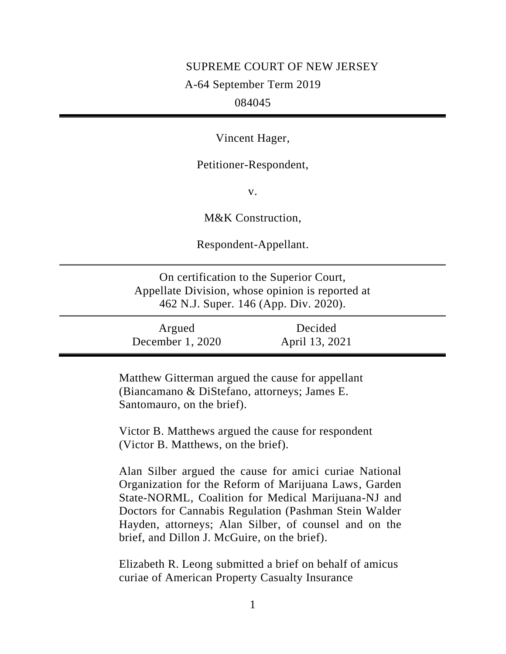# SUPREME COURT OF NEW JERSEY A-64 September Term 2019

# 084045

Vincent Hager,

Petitioner-Respondent,

v.

M&K Construction,

Respondent-Appellant.

On certification to the Superior Court, Appellate Division, whose opinion is reported at 462 N.J. Super. 146 (App. Div. 2020).

| Argued             | Decided        |  |
|--------------------|----------------|--|
| December $1, 2020$ | April 13, 2021 |  |

Matthew Gitterman argued the cause for appellant (Biancamano & DiStefano, attorneys; James E. Santomauro, on the brief).

Victor B. Matthews argued the cause for respondent (Victor B. Matthews, on the brief).

Alan Silber argued the cause for amici curiae National Organization for the Reform of Marijuana Laws, Garden State-NORML, Coalition for Medical Marijuana-NJ and Doctors for Cannabis Regulation (Pashman Stein Walder Hayden, attorneys; Alan Silber, of counsel and on the brief, and Dillon J. McGuire, on the brief).

Elizabeth R. Leong submitted a brief on behalf of amicus curiae of American Property Casualty Insurance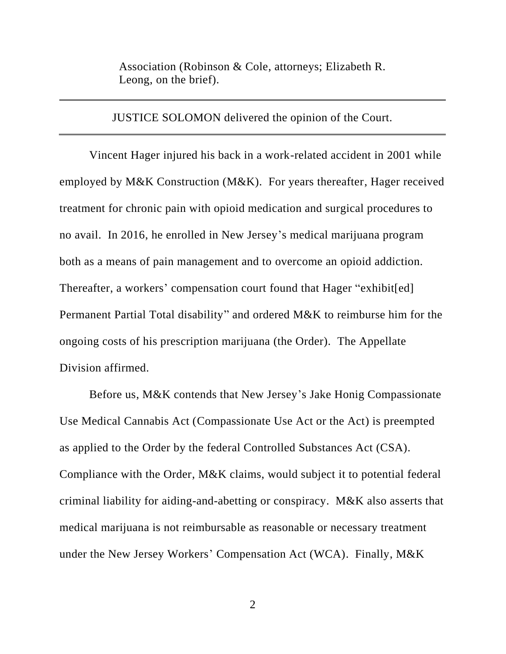Association (Robinson & Cole, attorneys; Elizabeth R. Leong, on the brief).

JUSTICE SOLOMON delivered the opinion of the Court.

Vincent Hager injured his back in a work-related accident in 2001 while employed by M&K Construction (M&K). For years thereafter, Hager received treatment for chronic pain with opioid medication and surgical procedures to no avail. In 2016, he enrolled in New Jersey's medical marijuana program both as a means of pain management and to overcome an opioid addiction. Thereafter, a workers' compensation court found that Hager "exhibit[ed] Permanent Partial Total disability" and ordered M&K to reimburse him for the ongoing costs of his prescription marijuana (the Order). The Appellate Division affirmed.

Before us, M&K contends that New Jersey's Jake Honig Compassionate Use Medical Cannabis Act (Compassionate Use Act or the Act) is preempted as applied to the Order by the federal Controlled Substances Act (CSA). Compliance with the Order, M&K claims, would subject it to potential federal criminal liability for aiding-and-abetting or conspiracy. M&K also asserts that medical marijuana is not reimbursable as reasonable or necessary treatment under the New Jersey Workers' Compensation Act (WCA). Finally, M&K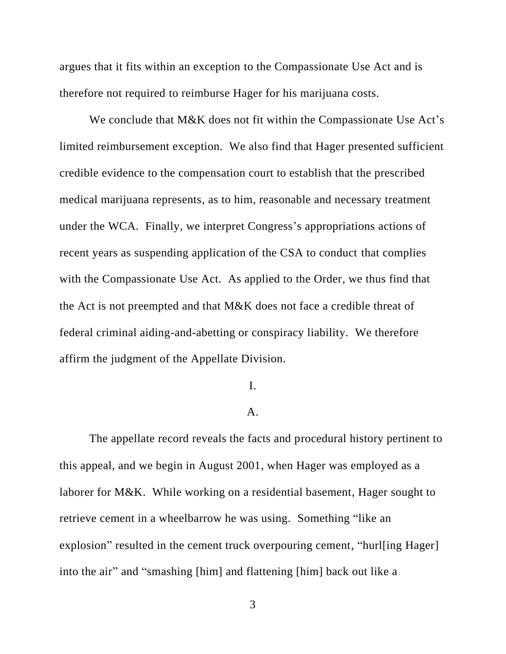argues that it fits within an exception to the Compassionate Use Act and is therefore not required to reimburse Hager for his marijuana costs.

We conclude that M&K does not fit within the Compassionate Use Act's limited reimbursement exception. We also find that Hager presented sufficient credible evidence to the compensation court to establish that the prescribed medical marijuana represents, as to him, reasonable and necessary treatment under the WCA. Finally, we interpret Congress's appropriations actions of recent years as suspending application of the CSA to conduct that complies with the Compassionate Use Act. As applied to the Order, we thus find that the Act is not preempted and that M&K does not face a credible threat of federal criminal aiding-and-abetting or conspiracy liability. We therefore affirm the judgment of the Appellate Division.

#### I.

#### A.

The appellate record reveals the facts and procedural history pertinent to this appeal, and we begin in August 2001, when Hager was employed as a laborer for M&K. While working on a residential basement, Hager sought to retrieve cement in a wheelbarrow he was using. Something "like an explosion" resulted in the cement truck overpouring cement, "hurlling Hager] into the air" and "smashing [him] and flattening [him] back out like a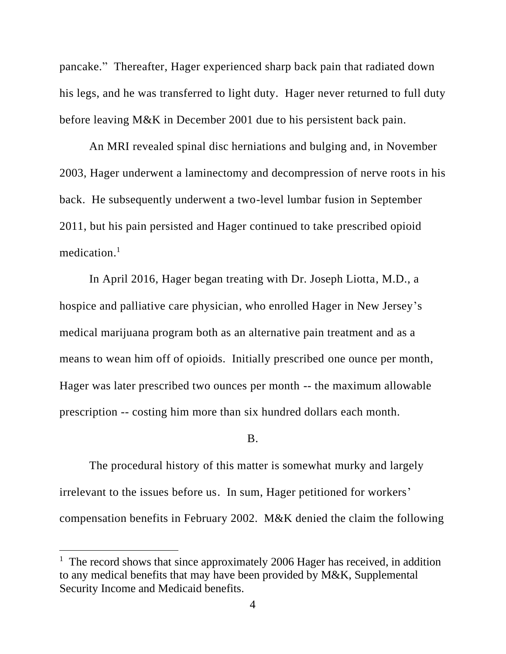pancake." Thereafter, Hager experienced sharp back pain that radiated down his legs, and he was transferred to light duty. Hager never returned to full duty before leaving M&K in December 2001 due to his persistent back pain.

An MRI revealed spinal disc herniations and bulging and, in November 2003, Hager underwent a laminectomy and decompression of nerve roots in his back. He subsequently underwent a two-level lumbar fusion in September 2011, but his pain persisted and Hager continued to take prescribed opioid medication. 1

In April 2016, Hager began treating with Dr. Joseph Liotta, M.D., a hospice and palliative care physician, who enrolled Hager in New Jersey's medical marijuana program both as an alternative pain treatment and as a means to wean him off of opioids. Initially prescribed one ounce per month, Hager was later prescribed two ounces per month -- the maximum allowable prescription -- costing him more than six hundred dollars each month.

#### B.

The procedural history of this matter is somewhat murky and largely irrelevant to the issues before us. In sum, Hager petitioned for workers' compensation benefits in February 2002. M&K denied the claim the following

<sup>&</sup>lt;sup>1</sup> The record shows that since approximately 2006 Hager has received, in addition to any medical benefits that may have been provided by M&K, Supplemental Security Income and Medicaid benefits.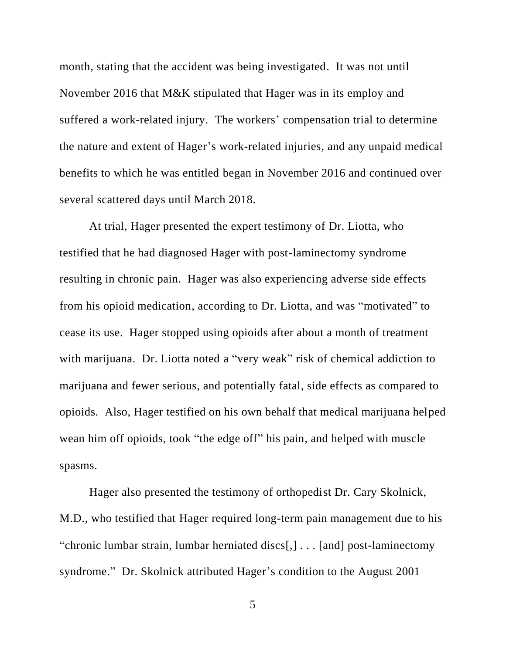month, stating that the accident was being investigated. It was not until November 2016 that M&K stipulated that Hager was in its employ and suffered a work-related injury. The workers' compensation trial to determine the nature and extent of Hager's work-related injuries, and any unpaid medical benefits to which he was entitled began in November 2016 and continued over several scattered days until March 2018.

At trial, Hager presented the expert testimony of Dr. Liotta, who testified that he had diagnosed Hager with post-laminectomy syndrome resulting in chronic pain. Hager was also experiencing adverse side effects from his opioid medication, according to Dr. Liotta, and was "motivated" to cease its use. Hager stopped using opioids after about a month of treatment with marijuana. Dr. Liotta noted a "very weak" risk of chemical addiction to marijuana and fewer serious, and potentially fatal, side effects as compared to opioids. Also, Hager testified on his own behalf that medical marijuana helped wean him off opioids, took "the edge off" his pain, and helped with muscle spasms.

Hager also presented the testimony of orthopedist Dr. Cary Skolnick, M.D., who testified that Hager required long-term pain management due to his "chronic lumbar strain, lumbar herniated discs[,] . . . [and] post-laminectomy syndrome." Dr. Skolnick attributed Hager's condition to the August 2001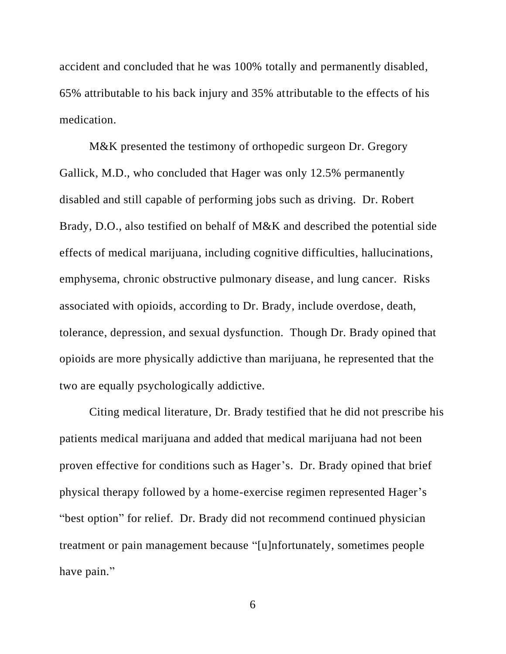accident and concluded that he was 100% totally and permanently disabled, 65% attributable to his back injury and 35% attributable to the effects of his medication.

M&K presented the testimony of orthopedic surgeon Dr. Gregory Gallick, M.D., who concluded that Hager was only 12.5% permanently disabled and still capable of performing jobs such as driving. Dr. Robert Brady, D.O., also testified on behalf of M&K and described the potential side effects of medical marijuana, including cognitive difficulties, hallucinations, emphysema, chronic obstructive pulmonary disease, and lung cancer. Risks associated with opioids, according to Dr. Brady, include overdose, death, tolerance, depression, and sexual dysfunction. Though Dr. Brady opined that opioids are more physically addictive than marijuana, he represented that the two are equally psychologically addictive.

Citing medical literature, Dr. Brady testified that he did not prescribe his patients medical marijuana and added that medical marijuana had not been proven effective for conditions such as Hager's. Dr. Brady opined that brief physical therapy followed by a home-exercise regimen represented Hager's "best option" for relief. Dr. Brady did not recommend continued physician treatment or pain management because "[u]nfortunately, sometimes people have pain."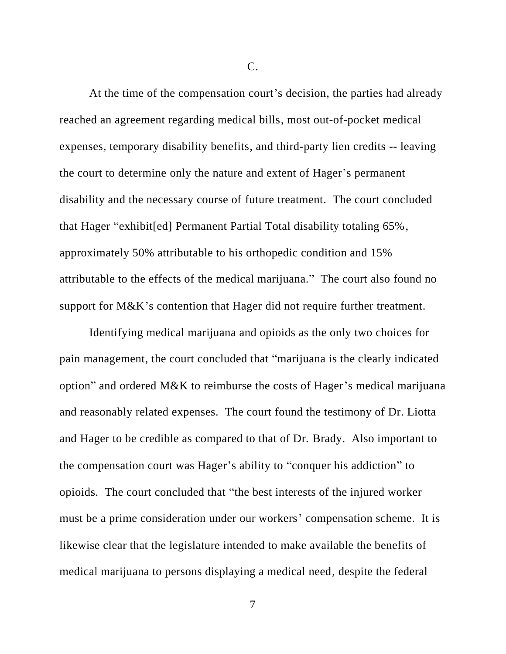C.

At the time of the compensation court's decision, the parties had already reached an agreement regarding medical bills, most out-of-pocket medical expenses, temporary disability benefits, and third-party lien credits -- leaving the court to determine only the nature and extent of Hager's permanent disability and the necessary course of future treatment. The court concluded that Hager "exhibit[ed] Permanent Partial Total disability totaling 65%, approximately 50% attributable to his orthopedic condition and 15% attributable to the effects of the medical marijuana." The court also found no support for M&K's contention that Hager did not require further treatment.

Identifying medical marijuana and opioids as the only two choices for pain management, the court concluded that "marijuana is the clearly indicated option" and ordered M&K to reimburse the costs of Hager's medical marijuana and reasonably related expenses. The court found the testimony of Dr. Liotta and Hager to be credible as compared to that of Dr. Brady. Also important to the compensation court was Hager's ability to "conquer his addiction" to opioids. The court concluded that "the best interests of the injured worker must be a prime consideration under our workers' compensation scheme. It is likewise clear that the legislature intended to make available the benefits of medical marijuana to persons displaying a medical need, despite the federal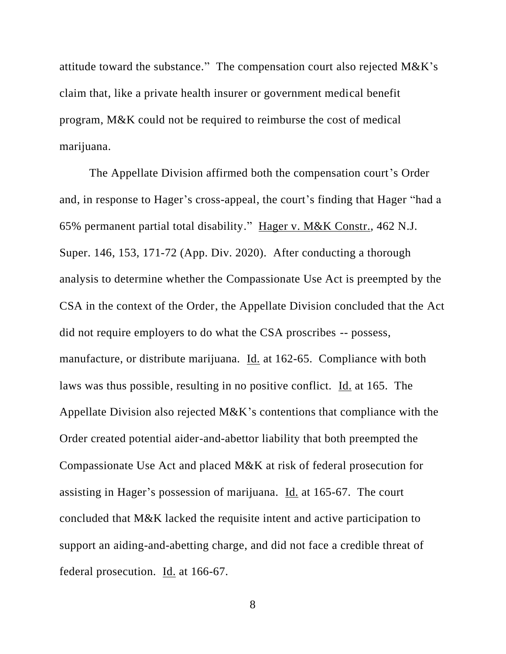attitude toward the substance." The compensation court also rejected M&K's claim that, like a private health insurer or government medical benefit program, M&K could not be required to reimburse the cost of medical marijuana.

The Appellate Division affirmed both the compensation court's Order and, in response to Hager's cross-appeal, the court's finding that Hager "had a 65% permanent partial total disability." Hager v. M&K Constr., 462 N.J. Super. 146, 153, 171-72 (App. Div. 2020). After conducting a thorough analysis to determine whether the Compassionate Use Act is preempted by the CSA in the context of the Order, the Appellate Division concluded that the Act did not require employers to do what the CSA proscribes -- possess, manufacture, or distribute marijuana. Id. at 162-65. Compliance with both laws was thus possible, resulting in no positive conflict. Id. at 165. The Appellate Division also rejected M&K's contentions that compliance with the Order created potential aider-and-abettor liability that both preempted the Compassionate Use Act and placed M&K at risk of federal prosecution for assisting in Hager's possession of marijuana. Id. at 165-67. The court concluded that M&K lacked the requisite intent and active participation to support an aiding-and-abetting charge, and did not face a credible threat of federal prosecution. Id. at 166-67.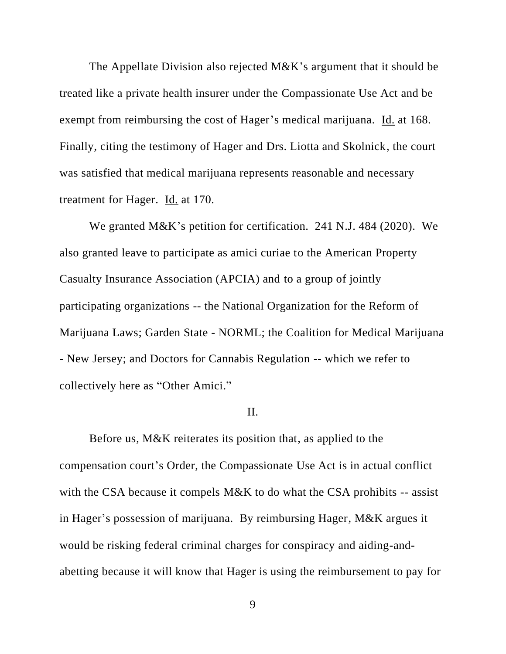The Appellate Division also rejected M&K's argument that it should be treated like a private health insurer under the Compassionate Use Act and be exempt from reimbursing the cost of Hager's medical marijuana. Id. at 168. Finally, citing the testimony of Hager and Drs. Liotta and Skolnick, the court was satisfied that medical marijuana represents reasonable and necessary treatment for Hager. Id. at 170.

We granted M&K's petition for certification. 241 N.J. 484 (2020). We also granted leave to participate as amici curiae to the American Property Casualty Insurance Association (APCIA) and to a group of jointly participating organizations -- the National Organization for the Reform of Marijuana Laws; Garden State - NORML; the Coalition for Medical Marijuana - New Jersey; and Doctors for Cannabis Regulation -- which we refer to collectively here as "Other Amici."

### II.

Before us, M&K reiterates its position that, as applied to the compensation court's Order, the Compassionate Use Act is in actual conflict with the CSA because it compels M&K to do what the CSA prohibits -- assist in Hager's possession of marijuana. By reimbursing Hager, M&K argues it would be risking federal criminal charges for conspiracy and aiding-andabetting because it will know that Hager is using the reimbursement to pay for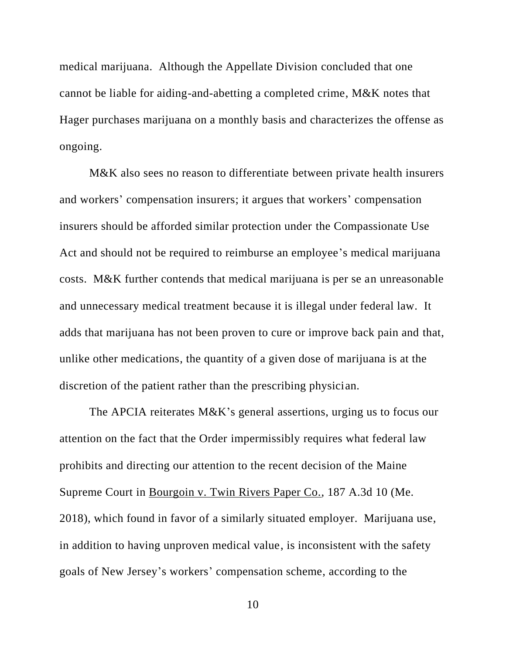medical marijuana. Although the Appellate Division concluded that one cannot be liable for aiding-and-abetting a completed crime, M&K notes that Hager purchases marijuana on a monthly basis and characterizes the offense as ongoing.

M&K also sees no reason to differentiate between private health insurers and workers' compensation insurers; it argues that workers' compensation insurers should be afforded similar protection under the Compassionate Use Act and should not be required to reimburse an employee's medical marijuana costs. M&K further contends that medical marijuana is per se an unreasonable and unnecessary medical treatment because it is illegal under federal law. It adds that marijuana has not been proven to cure or improve back pain and that, unlike other medications, the quantity of a given dose of marijuana is at the discretion of the patient rather than the prescribing physician.

The APCIA reiterates M&K's general assertions, urging us to focus our attention on the fact that the Order impermissibly requires what federal law prohibits and directing our attention to the recent decision of the Maine Supreme Court in Bourgoin v. Twin Rivers Paper Co., 187 A.3d 10 (Me. 2018), which found in favor of a similarly situated employer. Marijuana use, in addition to having unproven medical value, is inconsistent with the safety goals of New Jersey's workers' compensation scheme, according to the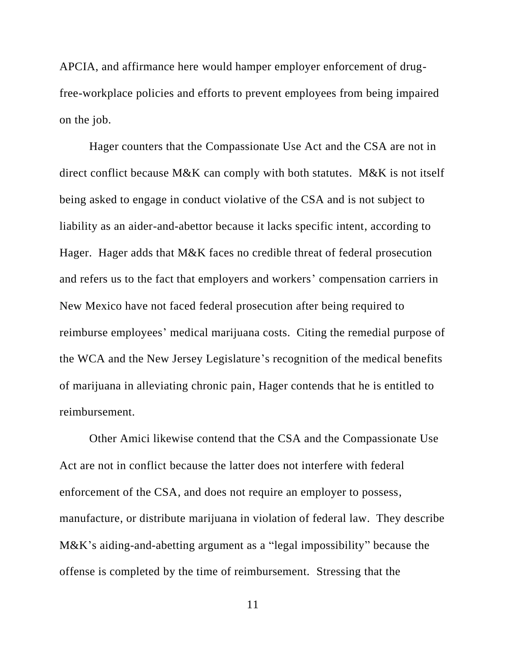APCIA, and affirmance here would hamper employer enforcement of drugfree-workplace policies and efforts to prevent employees from being impaired on the job.

Hager counters that the Compassionate Use Act and the CSA are not in direct conflict because M&K can comply with both statutes. M&K is not itself being asked to engage in conduct violative of the CSA and is not subject to liability as an aider-and-abettor because it lacks specific intent, according to Hager. Hager adds that M&K faces no credible threat of federal prosecution and refers us to the fact that employers and workers' compensation carriers in New Mexico have not faced federal prosecution after being required to reimburse employees' medical marijuana costs. Citing the remedial purpose of the WCA and the New Jersey Legislature's recognition of the medical benefits of marijuana in alleviating chronic pain, Hager contends that he is entitled to reimbursement.

Other Amici likewise contend that the CSA and the Compassionate Use Act are not in conflict because the latter does not interfere with federal enforcement of the CSA, and does not require an employer to possess, manufacture, or distribute marijuana in violation of federal law. They describe M&K's aiding-and-abetting argument as a "legal impossibility" because the offense is completed by the time of reimbursement. Stressing that the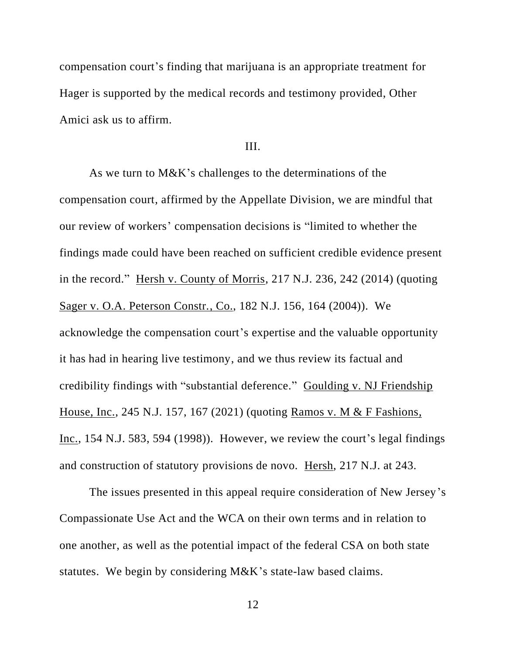compensation court's finding that marijuana is an appropriate treatment for Hager is supported by the medical records and testimony provided, Other Amici ask us to affirm.

# III.

As we turn to M&K's challenges to the determinations of the compensation court, affirmed by the Appellate Division, we are mindful that our review of workers' compensation decisions is "limited to whether the findings made could have been reached on sufficient credible evidence present in the record." Hersh v. County of Morris, 217 N.J. 236, 242 (2014) (quoting Sager v. O.A. Peterson Constr., Co., 182 N.J. 156, 164 (2004)). We acknowledge the compensation court's expertise and the valuable opportunity it has had in hearing live testimony, and we thus review its factual and credibility findings with "substantial deference." Goulding v. NJ Friendship House, Inc., 245 N.J. 157, 167 (2021) (quoting Ramos v. M & F Fashions, Inc., 154 N.J. 583, 594 (1998)). However, we review the court's legal findings and construction of statutory provisions de novo. Hersh, 217 N.J. at 243.

The issues presented in this appeal require consideration of New Jersey's Compassionate Use Act and the WCA on their own terms and in relation to one another, as well as the potential impact of the federal CSA on both state statutes. We begin by considering M&K's state-law based claims.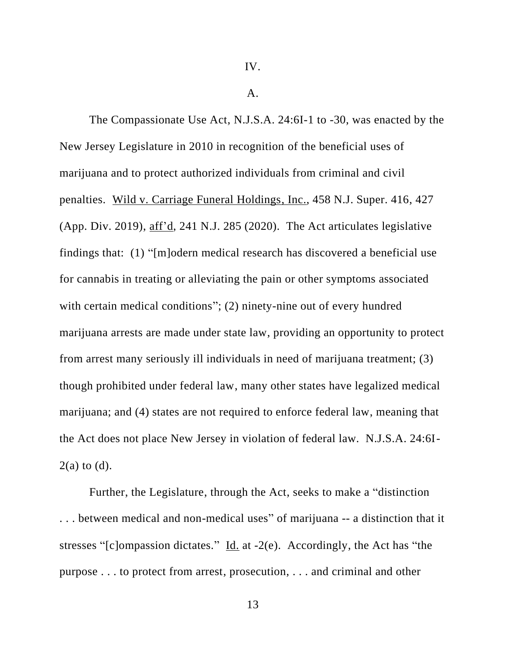IV.

 $A<sub>1</sub>$ 

The Compassionate Use Act, N.J.S.A. 24:6I-1 to -30, was enacted by the New Jersey Legislature in 2010 in recognition of the beneficial uses of marijuana and to protect authorized individuals from criminal and civil penalties. Wild v. Carriage Funeral Holdings, Inc., 458 N.J. Super. 416, 427 (App. Div. 2019), aff'd, 241 N.J. 285 (2020). The Act articulates legislative findings that: (1) "[m]odern medical research has discovered a beneficial use for cannabis in treating or alleviating the pain or other symptoms associated with certain medical conditions"; (2) ninety-nine out of every hundred marijuana arrests are made under state law, providing an opportunity to protect from arrest many seriously ill individuals in need of marijuana treatment; (3) though prohibited under federal law, many other states have legalized medical marijuana; and (4) states are not required to enforce federal law, meaning that the Act does not place New Jersey in violation of federal law. N.J.S.A. 24:6I- $2(a)$  to  $(d)$ .

Further, the Legislature, through the Act, seeks to make a "distinction . . . between medical and non-medical uses" of marijuana -- a distinction that it stresses "[c]ompassion dictates." Id. at -2(e). Accordingly, the Act has "the purpose . . . to protect from arrest, prosecution, . . . and criminal and other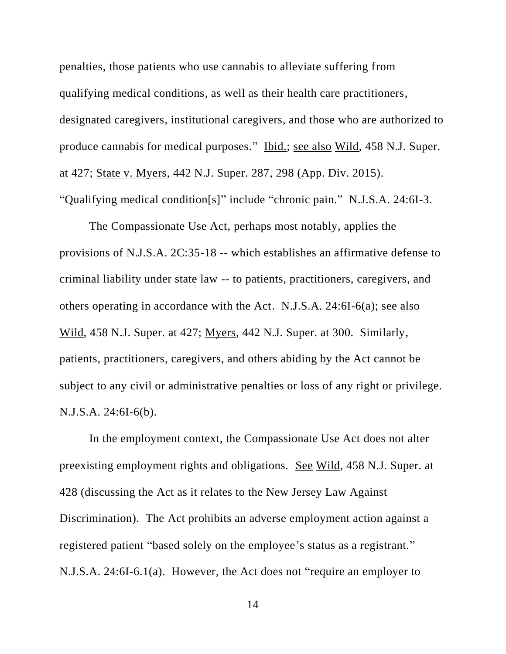penalties, those patients who use cannabis to alleviate suffering from qualifying medical conditions, as well as their health care practitioners, designated caregivers, institutional caregivers, and those who are authorized to produce cannabis for medical purposes." Ibid.; see also Wild, 458 N.J. Super. at 427; State v. Myers, 442 N.J. Super. 287, 298 (App. Div. 2015). "Qualifying medical condition[s]" include "chronic pain." N.J.S.A. 24:6I-3.

The Compassionate Use Act, perhaps most notably, applies the provisions of N.J.S.A. 2C:35-18 -- which establishes an affirmative defense to criminal liability under state law -- to patients, practitioners, caregivers, and others operating in accordance with the Act. N.J.S.A. 24:6I-6(a); see also Wild, 458 N.J. Super. at 427; Myers, 442 N.J. Super. at 300. Similarly, patients, practitioners, caregivers, and others abiding by the Act cannot be subject to any civil or administrative penalties or loss of any right or privilege. N.J.S.A. 24:6I-6(b).

In the employment context, the Compassionate Use Act does not alter preexisting employment rights and obligations. See Wild, 458 N.J. Super. at 428 (discussing the Act as it relates to the New Jersey Law Against Discrimination). The Act prohibits an adverse employment action against a registered patient "based solely on the employee's status as a registrant." N.J.S.A. 24:6I-6.1(a). However, the Act does not "require an employer to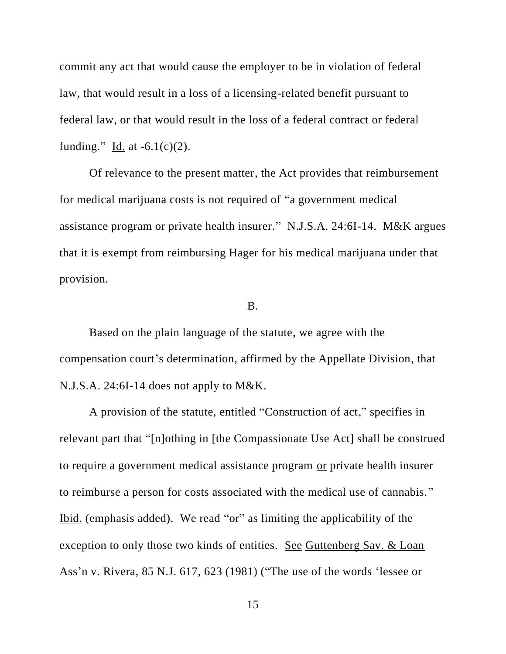commit any act that would cause the employer to be in violation of federal law, that would result in a loss of a licensing-related benefit pursuant to federal law, or that would result in the loss of a federal contract or federal funding." Id. at  $-6.1(c)(2)$ .

Of relevance to the present matter, the Act provides that reimbursement for medical marijuana costs is not required of "a government medical assistance program or private health insurer." N.J.S.A. 24:6I-14. M&K argues that it is exempt from reimbursing Hager for his medical marijuana under that provision.

### B.

Based on the plain language of the statute, we agree with the compensation court's determination, affirmed by the Appellate Division, that N.J.S.A. 24:6I-14 does not apply to M&K.

A provision of the statute, entitled "Construction of act," specifies in relevant part that "[n]othing in [the Compassionate Use Act] shall be construed to require a government medical assistance program or private health insurer to reimburse a person for costs associated with the medical use of cannabis." Ibid. (emphasis added). We read "or" as limiting the applicability of the exception to only those two kinds of entities. See Guttenberg Sav. & Loan Ass'n v. Rivera, 85 N.J. 617, 623 (1981) ("The use of the words 'lessee or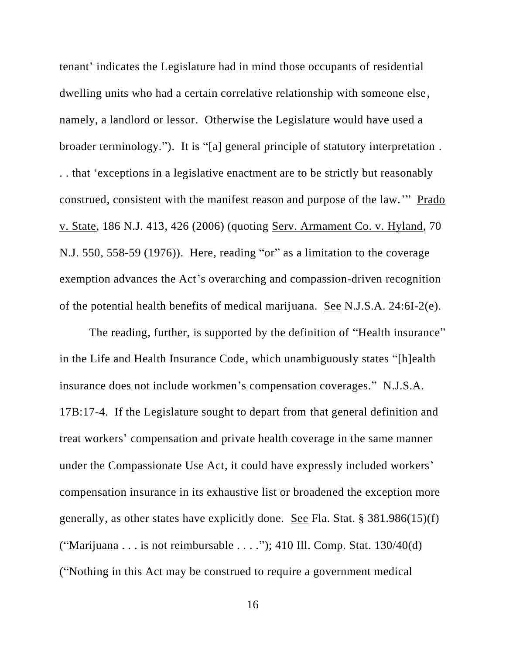tenant' indicates the Legislature had in mind those occupants of residential dwelling units who had a certain correlative relationship with someone else, namely, a landlord or lessor. Otherwise the Legislature would have used a broader terminology."). It is "[a] general principle of statutory interpretation . . . that 'exceptions in a legislative enactment are to be strictly but reasonably construed, consistent with the manifest reason and purpose of the law.'" Prado v. State, 186 N.J. 413, 426 (2006) (quoting Serv. Armament Co. v. Hyland, 70 N.J. 550, 558-59 (1976)). Here, reading "or" as a limitation to the coverage exemption advances the Act's overarching and compassion-driven recognition of the potential health benefits of medical marijuana. See N.J.S.A. 24:6I-2(e).

The reading, further, is supported by the definition of "Health insurance" in the Life and Health Insurance Code, which unambiguously states "[h]ealth insurance does not include workmen's compensation coverages." N.J.S.A. 17B:17-4. If the Legislature sought to depart from that general definition and treat workers' compensation and private health coverage in the same manner under the Compassionate Use Act, it could have expressly included workers' compensation insurance in its exhaustive list or broadened the exception more generally, as other states have explicitly done. See Fla. Stat. § 381.986(15)(f) ("Marijuana . . . is not reimbursable . . . ."); 410 Ill. Comp. Stat.  $130/40(d)$ ("Nothing in this Act may be construed to require a government medical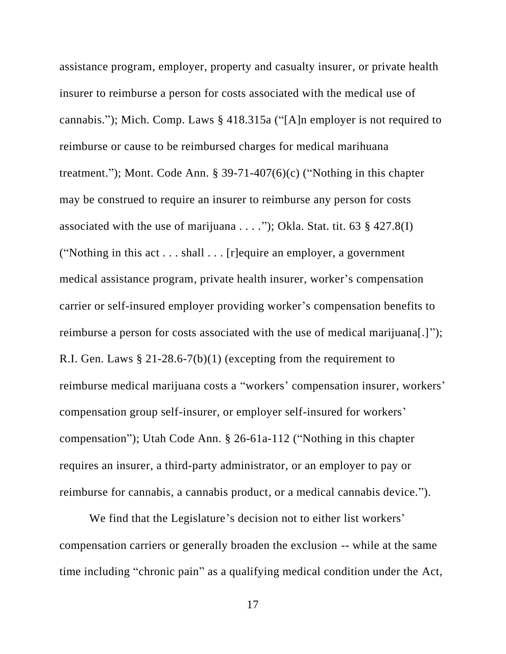assistance program, employer, property and casualty insurer, or private health insurer to reimburse a person for costs associated with the medical use of cannabis."); Mich. Comp. Laws § 418.315a ("[A]n employer is not required to reimburse or cause to be reimbursed charges for medical marihuana treatment."); Mont. Code Ann. § 39-71-407(6)(c) ("Nothing in this chapter may be construed to require an insurer to reimburse any person for costs associated with the use of marijuana . . . ."); Okla. Stat. tit. 63  $\S$  427.8(I) ("Nothing in this act . . . shall . . . [r]equire an employer, a government medical assistance program, private health insurer, worker's compensation carrier or self-insured employer providing worker's compensation benefits to reimburse a person for costs associated with the use of medical marijuana[.]"); R.I. Gen. Laws § 21-28.6-7(b)(1) (excepting from the requirement to reimburse medical marijuana costs a "workers' compensation insurer, workers' compensation group self-insurer, or employer self-insured for workers' compensation"); Utah Code Ann. § 26-61a-112 ("Nothing in this chapter requires an insurer, a third-party administrator, or an employer to pay or reimburse for cannabis, a cannabis product, or a medical cannabis device.").

We find that the Legislature's decision not to either list workers' compensation carriers or generally broaden the exclusion -- while at the same time including "chronic pain" as a qualifying medical condition under the Act,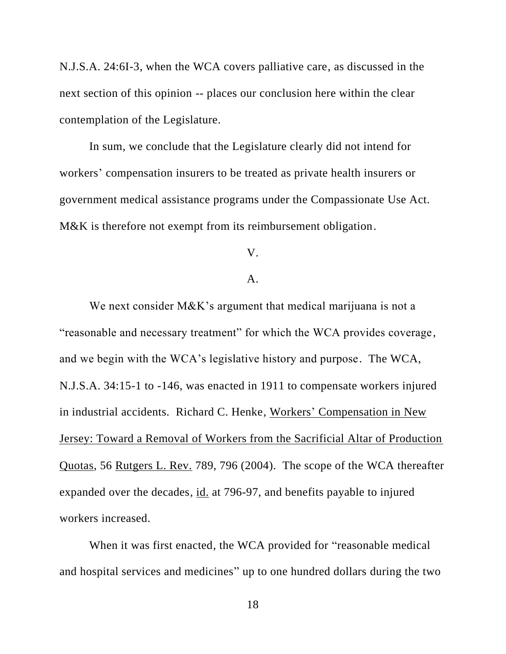N.J.S.A. 24:6I-3, when the WCA covers palliative care, as discussed in the next section of this opinion -- places our conclusion here within the clear contemplation of the Legislature.

In sum, we conclude that the Legislature clearly did not intend for workers' compensation insurers to be treated as private health insurers or government medical assistance programs under the Compassionate Use Act. M&K is therefore not exempt from its reimbursement obligation.

# V.

# A.

We next consider M&K's argument that medical marijuana is not a "reasonable and necessary treatment" for which the WCA provides coverage, and we begin with the WCA's legislative history and purpose. The WCA, N.J.S.A. 34:15-1 to -146, was enacted in 1911 to compensate workers injured in industrial accidents. Richard C. Henke, Workers' Compensation in New Jersey: Toward a Removal of Workers from the Sacrificial Altar of Production Quotas, 56 Rutgers L. Rev. 789, 796 (2004). The scope of the WCA thereafter expanded over the decades, id. at 796-97, and benefits payable to injured workers increased.

When it was first enacted, the WCA provided for "reasonable medical and hospital services and medicines" up to one hundred dollars during the two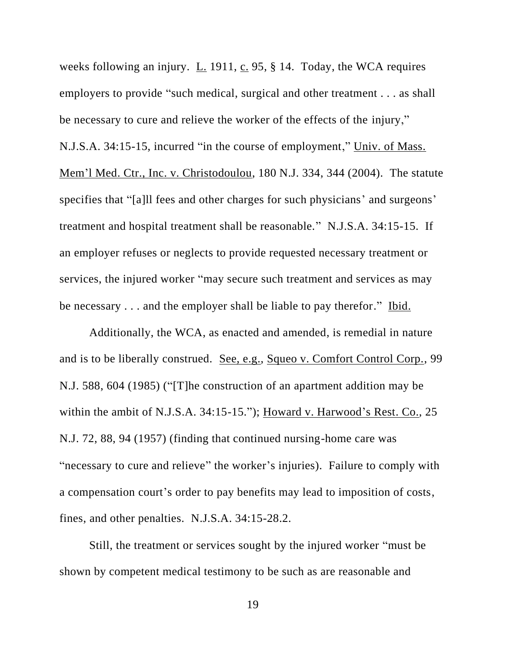weeks following an injury.  $\underline{L}$ . 1911,  $\underline{c}$ . 95, § 14. Today, the WCA requires employers to provide "such medical, surgical and other treatment . . . as shall be necessary to cure and relieve the worker of the effects of the injury," N.J.S.A. 34:15-15, incurred "in the course of employment," Univ. of Mass. Mem'l Med. Ctr., Inc. v. Christodoulou, 180 N.J. 334, 344 (2004). The statute specifies that "[a]ll fees and other charges for such physicians' and surgeons' treatment and hospital treatment shall be reasonable." N.J.S.A. 34:15-15. If an employer refuses or neglects to provide requested necessary treatment or services, the injured worker "may secure such treatment and services as may be necessary . . . and the employer shall be liable to pay therefor." Ibid.

Additionally, the WCA, as enacted and amended, is remedial in nature and is to be liberally construed. See, e.g., Squeo v. Comfort Control Corp., 99 N.J. 588, 604 (1985) ("[T]he construction of an apartment addition may be within the ambit of N.J.S.A. 34:15-15."); Howard v. Harwood's Rest. Co., 25 N.J. 72, 88, 94 (1957) (finding that continued nursing-home care was "necessary to cure and relieve" the worker's injuries). Failure to comply with a compensation court's order to pay benefits may lead to imposition of costs, fines, and other penalties. N.J.S.A. 34:15-28.2.

Still, the treatment or services sought by the injured worker "must be shown by competent medical testimony to be such as are reasonable and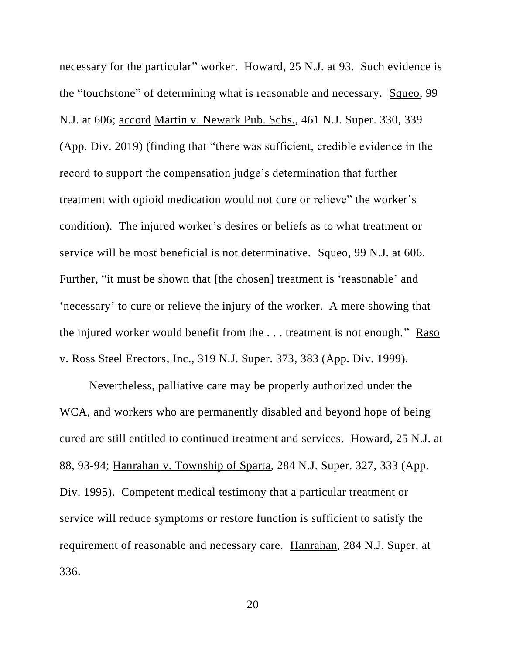necessary for the particular" worker. Howard, 25 N.J. at 93. Such evidence is the "touchstone" of determining what is reasonable and necessary. Squeo, 99 N.J. at 606; accord Martin v. Newark Pub. Schs., 461 N.J. Super. 330, 339 (App. Div. 2019) (finding that "there was sufficient, credible evidence in the record to support the compensation judge's determination that further treatment with opioid medication would not cure or relieve" the worker's condition). The injured worker's desires or beliefs as to what treatment or service will be most beneficial is not determinative. Squeo, 99 N.J. at 606. Further, "it must be shown that [the chosen] treatment is 'reasonable' and 'necessary' to cure or relieve the injury of the worker. A mere showing that the injured worker would benefit from the . . . treatment is not enough." Raso v. Ross Steel Erectors, Inc., 319 N.J. Super. 373, 383 (App. Div. 1999).

Nevertheless, palliative care may be properly authorized under the WCA, and workers who are permanently disabled and beyond hope of being cured are still entitled to continued treatment and services. Howard, 25 N.J. at 88, 93-94; Hanrahan v. Township of Sparta, 284 N.J. Super. 327, 333 (App. Div. 1995). Competent medical testimony that a particular treatment or service will reduce symptoms or restore function is sufficient to satisfy the requirement of reasonable and necessary care. Hanrahan, 284 N.J. Super. at 336.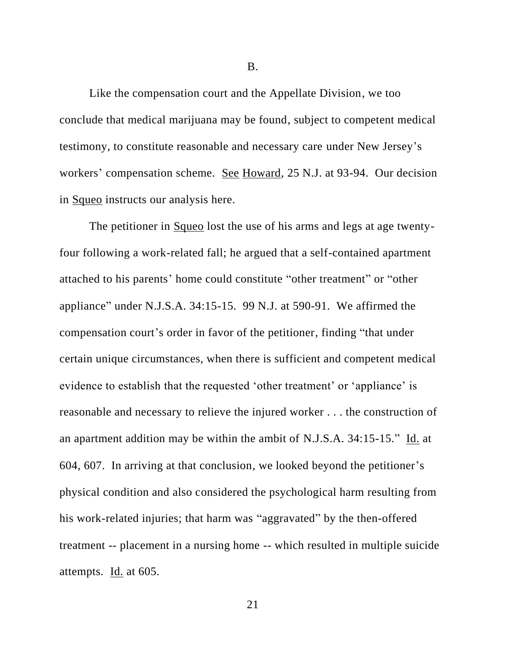B.

Like the compensation court and the Appellate Division, we too conclude that medical marijuana may be found, subject to competent medical testimony, to constitute reasonable and necessary care under New Jersey's workers' compensation scheme. See Howard, 25 N.J. at 93-94. Our decision in Squeo instructs our analysis here.

The petitioner in Squeo lost the use of his arms and legs at age twentyfour following a work-related fall; he argued that a self-contained apartment attached to his parents' home could constitute "other treatment" or "other appliance" under N.J.S.A. 34:15-15. 99 N.J. at 590-91. We affirmed the compensation court's order in favor of the petitioner, finding "that under certain unique circumstances, when there is sufficient and competent medical evidence to establish that the requested 'other treatment' or 'appliance' is reasonable and necessary to relieve the injured worker . . . the construction of an apartment addition may be within the ambit of N.J.S.A. 34:15-15." Id. at 604, 607. In arriving at that conclusion, we looked beyond the petitioner's physical condition and also considered the psychological harm resulting from his work-related injuries; that harm was "aggravated" by the then-offered treatment -- placement in a nursing home -- which resulted in multiple suicide attempts. Id. at 605.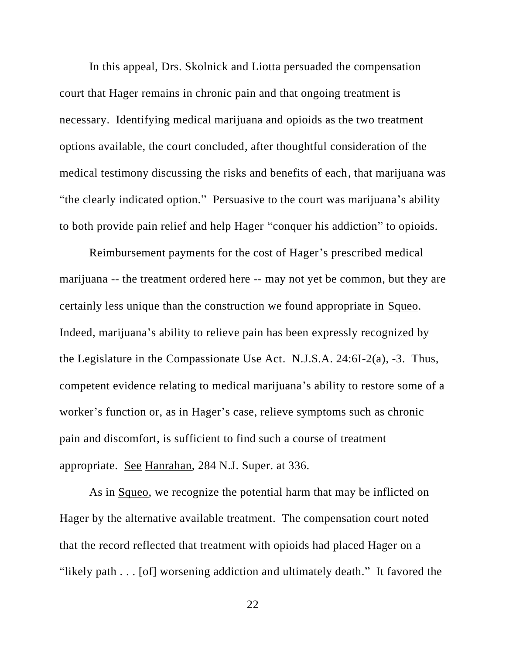In this appeal, Drs. Skolnick and Liotta persuaded the compensation court that Hager remains in chronic pain and that ongoing treatment is necessary. Identifying medical marijuana and opioids as the two treatment options available, the court concluded, after thoughtful consideration of the medical testimony discussing the risks and benefits of each, that marijuana was "the clearly indicated option." Persuasive to the court was marijuana's ability to both provide pain relief and help Hager "conquer his addiction" to opioids.

Reimbursement payments for the cost of Hager's prescribed medical marijuana -- the treatment ordered here -- may not yet be common, but they are certainly less unique than the construction we found appropriate in Squeo. Indeed, marijuana's ability to relieve pain has been expressly recognized by the Legislature in the Compassionate Use Act. N.J.S.A. 24:6I-2(a), -3. Thus, competent evidence relating to medical marijuana's ability to restore some of a worker's function or, as in Hager's case, relieve symptoms such as chronic pain and discomfort, is sufficient to find such a course of treatment appropriate. See Hanrahan, 284 N.J. Super. at 336.

As in Squeo, we recognize the potential harm that may be inflicted on Hager by the alternative available treatment. The compensation court noted that the record reflected that treatment with opioids had placed Hager on a "likely path . . . [of] worsening addiction and ultimately death." It favored the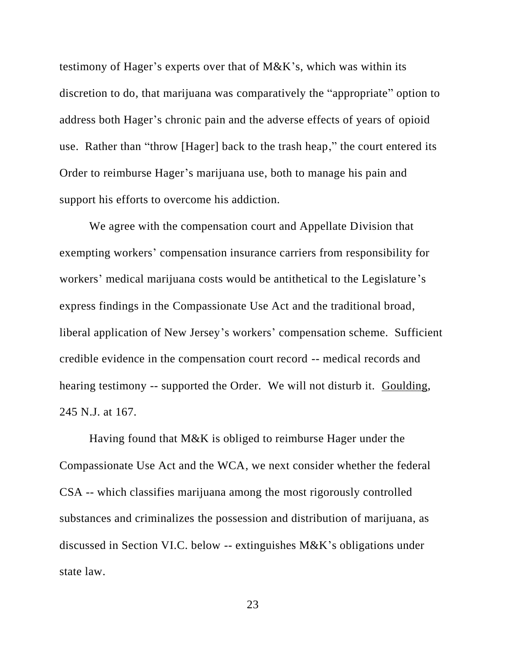testimony of Hager's experts over that of M&K's, which was within its discretion to do, that marijuana was comparatively the "appropriate" option to address both Hager's chronic pain and the adverse effects of years of opioid use. Rather than "throw [Hager] back to the trash heap," the court entered its Order to reimburse Hager's marijuana use, both to manage his pain and support his efforts to overcome his addiction.

We agree with the compensation court and Appellate Division that exempting workers' compensation insurance carriers from responsibility for workers' medical marijuana costs would be antithetical to the Legislature's express findings in the Compassionate Use Act and the traditional broad, liberal application of New Jersey's workers' compensation scheme. Sufficient credible evidence in the compensation court record -- medical records and hearing testimony -- supported the Order. We will not disturb it. Goulding, 245 N.J. at 167.

Having found that M&K is obliged to reimburse Hager under the Compassionate Use Act and the WCA, we next consider whether the federal CSA -- which classifies marijuana among the most rigorously controlled substances and criminalizes the possession and distribution of marijuana, as discussed in Section VI.C. below -- extinguishes M&K's obligations under state law.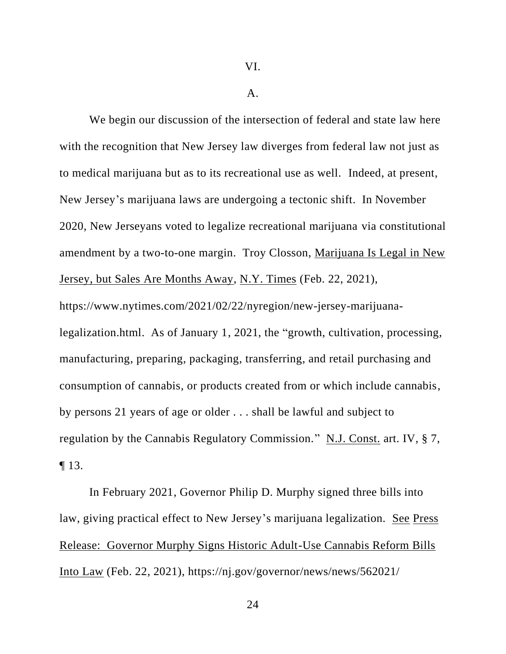#### A.

We begin our discussion of the intersection of federal and state law here with the recognition that New Jersey law diverges from federal law not just as to medical marijuana but as to its recreational use as well. Indeed, at present, New Jersey's marijuana laws are undergoing a tectonic shift. In November 2020, New Jerseyans voted to legalize recreational marijuana via constitutional amendment by a two-to-one margin. Troy Closson, Marijuana Is Legal in New Jersey, but Sales Are Months Away, N.Y. Times (Feb. 22, 2021), https://www.nytimes.com/2021/02/22/nyregion/new-jersey-marijuanalegalization.html. As of January 1, 2021, the "growth, cultivation, processing, manufacturing, preparing, packaging, transferring, and retail purchasing and consumption of cannabis, or products created from or which include cannabis, by persons 21 years of age or older . . . shall be lawful and subject to regulation by the Cannabis Regulatory Commission." N.J. Const. art. IV, § 7, ¶ 13.

In February 2021, Governor Philip D. Murphy signed three bills into law, giving practical effect to New Jersey's marijuana legalization. See Press Release: Governor Murphy Signs Historic Adult-Use Cannabis Reform Bills Into Law (Feb. 22, 2021), https://nj.gov/governor/news/news/562021/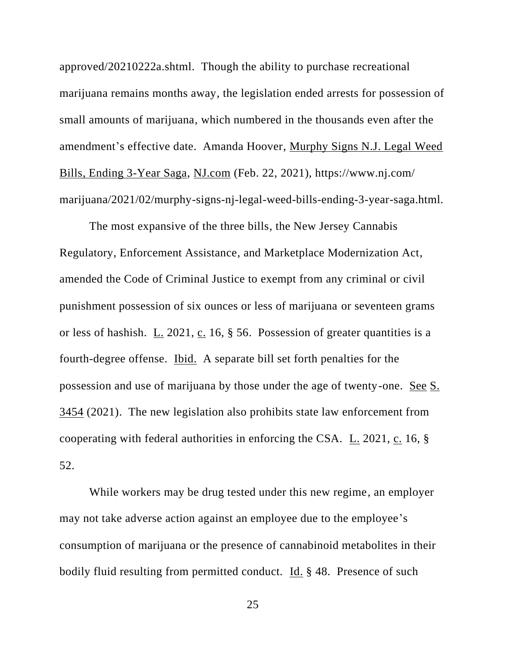approved/20210222a.shtml. Though the ability to purchase recreational marijuana remains months away, the legislation ended arrests for possession of small amounts of marijuana, which numbered in the thousands even after the amendment's effective date. Amanda Hoover, Murphy Signs N.J. Legal Weed Bills, Ending 3-Year Saga, NJ.com (Feb. 22, 2021), https://www.nj.com/ marijuana/2021/02/murphy-signs-nj-legal-weed-bills-ending-3-year-saga.html.

The most expansive of the three bills, the New Jersey Cannabis Regulatory, Enforcement Assistance, and Marketplace Modernization Act, amended the Code of Criminal Justice to exempt from any criminal or civil punishment possession of six ounces or less of marijuana or seventeen grams or less of hashish. L. 2021, c. 16, § 56. Possession of greater quantities is a fourth-degree offense. Ibid. A separate bill set forth penalties for the possession and use of marijuana by those under the age of twenty-one. See S. 3454 (2021). The new legislation also prohibits state law enforcement from cooperating with federal authorities in enforcing the CSA.  $L_2$  2021,  $c_1$  16,  $\S$ 52.

While workers may be drug tested under this new regime, an employer may not take adverse action against an employee due to the employee's consumption of marijuana or the presence of cannabinoid metabolites in their bodily fluid resulting from permitted conduct. Id. § 48. Presence of such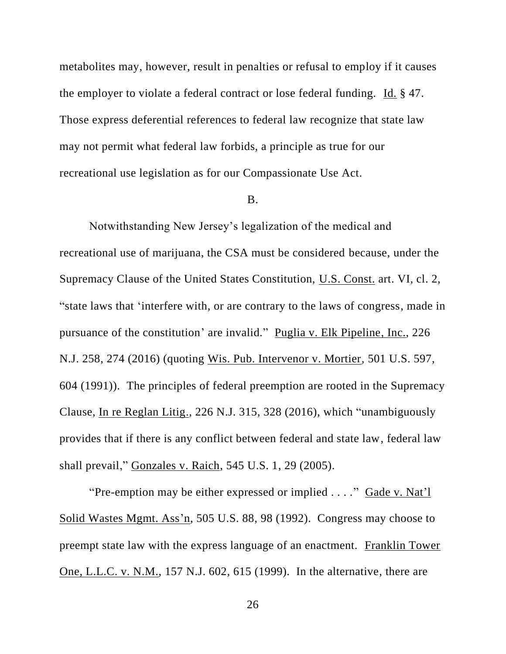metabolites may, however, result in penalties or refusal to employ if it causes the employer to violate a federal contract or lose federal funding. Id. § 47. Those express deferential references to federal law recognize that state law may not permit what federal law forbids, a principle as true for our recreational use legislation as for our Compassionate Use Act.

#### B.

Notwithstanding New Jersey's legalization of the medical and recreational use of marijuana, the CSA must be considered because, under the Supremacy Clause of the United States Constitution, U.S. Const. art. VI, cl. 2, "state laws that 'interfere with, or are contrary to the laws of congress, made in pursuance of the constitution' are invalid." Puglia v. Elk Pipeline, Inc., 226 N.J. 258, 274 (2016) (quoting Wis. Pub. Intervenor v. Mortier, 501 U.S. 597, 604 (1991)). The principles of federal preemption are rooted in the Supremacy Clause, In re Reglan Litig., 226 N.J. 315, 328 (2016), which "unambiguously provides that if there is any conflict between federal and state law, federal law shall prevail," Gonzales v. Raich, 545 U.S. 1, 29 (2005).

"Pre-emption may be either expressed or implied . . . ." Gade v. Nat'l Solid Wastes Mgmt. Ass'n, 505 U.S. 88, 98 (1992). Congress may choose to preempt state law with the express language of an enactment. Franklin Tower One, L.L.C. v. N.M., 157 N.J. 602, 615 (1999). In the alternative, there are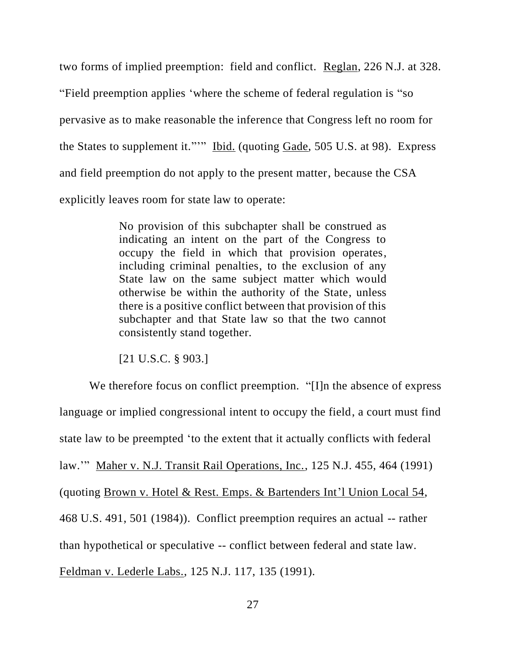two forms of implied preemption: field and conflict. Reglan, 226 N.J. at 328. "Field preemption applies 'where the scheme of federal regulation is "so pervasive as to make reasonable the inference that Congress left no room for the States to supplement it."'" Ibid. (quoting Gade, 505 U.S. at 98). Express and field preemption do not apply to the present matter, because the CSA explicitly leaves room for state law to operate:

> No provision of this subchapter shall be construed as indicating an intent on the part of the Congress to occupy the field in which that provision operates, including criminal penalties, to the exclusion of any State law on the same subject matter which would otherwise be within the authority of the State, unless there is a positive conflict between that provision of this subchapter and that State law so that the two cannot consistently stand together.

[21 U.S.C. § 903.]

We therefore focus on conflict preemption. "[I]n the absence of express language or implied congressional intent to occupy the field, a court must find state law to be preempted 'to the extent that it actually conflicts with federal law.'" Maher v. N.J. Transit Rail Operations, Inc., 125 N.J. 455, 464 (1991) (quoting Brown v. Hotel & Rest. Emps. & Bartenders Int'l Union Local 54, 468 U.S. 491, 501 (1984)). Conflict preemption requires an actual -- rather than hypothetical or speculative -- conflict between federal and state law. Feldman v. Lederle Labs., 125 N.J. 117, 135 (1991).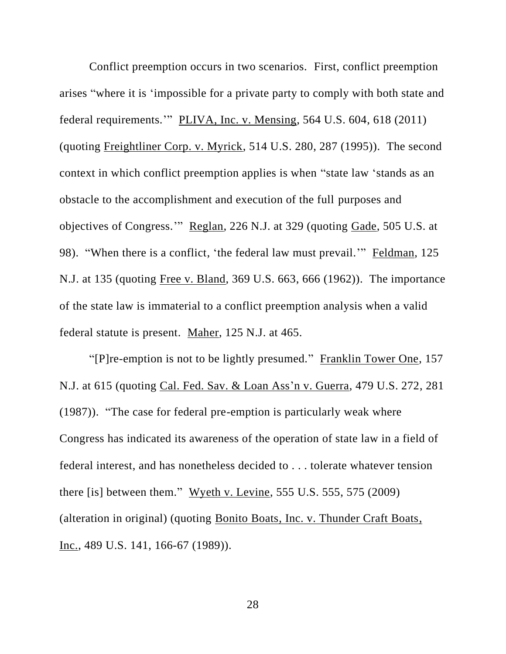Conflict preemption occurs in two scenarios. First, conflict preemption arises "where it is 'impossible for a private party to comply with both state and federal requirements.'" PLIVA, Inc. v. Mensing, 564 U.S. 604, 618 (2011) (quoting Freightliner Corp. v. Myrick, 514 U.S. 280, 287 (1995)). The second context in which conflict preemption applies is when "state law 'stands as an obstacle to the accomplishment and execution of the full purposes and objectives of Congress.'" Reglan, 226 N.J. at 329 (quoting Gade, 505 U.S. at 98). "When there is a conflict, 'the federal law must prevail.'" Feldman, 125 N.J. at 135 (quoting Free v. Bland, 369 U.S. 663, 666 (1962)). The importance of the state law is immaterial to a conflict preemption analysis when a valid federal statute is present. Maher, 125 N.J. at 465.

"[P]re-emption is not to be lightly presumed." Franklin Tower One, 157 N.J. at 615 (quoting Cal. Fed. Sav. & Loan Ass'n v. Guerra, 479 U.S. 272, 281 (1987)). "The case for federal pre-emption is particularly weak where Congress has indicated its awareness of the operation of state law in a field of federal interest, and has nonetheless decided to . . . tolerate whatever tension there [is] between them." Wyeth v. Levine, 555 U.S. 555, 575 (2009) (alteration in original) (quoting Bonito Boats, Inc. v. Thunder Craft Boats, Inc., 489 U.S. 141, 166-67 (1989)).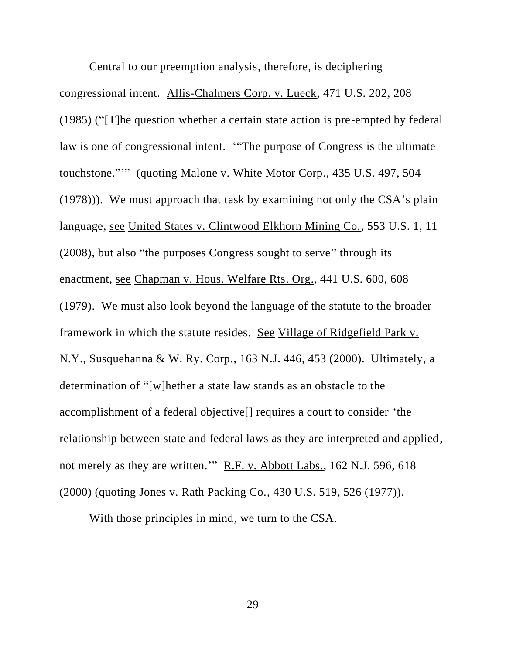Central to our preemption analysis, therefore, is deciphering congressional intent. Allis-Chalmers Corp. v. Lueck, 471 U.S. 202, 208 (1985) ("[T]he question whether a certain state action is pre-empted by federal law is one of congressional intent. '"The purpose of Congress is the ultimate touchstone."'" (quoting Malone v. White Motor Corp., 435 U.S. 497, 504 (1978))). We must approach that task by examining not only the CSA's plain language, see United States v. Clintwood Elkhorn Mining Co., 553 U.S. 1, 11 (2008), but also "the purposes Congress sought to serve" through its enactment, see Chapman v. Hous. Welfare Rts. Org., 441 U.S. 600, 608 (1979). We must also look beyond the language of the statute to the broader framework in which the statute resides. See Village of Ridgefield Park v. N.Y., Susquehanna & W. Ry. Corp., 163 N.J. 446, 453 (2000). Ultimately, a determination of "[w]hether a state law stands as an obstacle to the accomplishment of a federal objective[] requires a court to consider 'the relationship between state and federal laws as they are interpreted and applied, not merely as they are written.'" R.F. v. Abbott Labs., 162 N.J. 596, 618 (2000) (quoting Jones v. Rath Packing Co., 430 U.S. 519, 526 (1977)).

With those principles in mind, we turn to the CSA.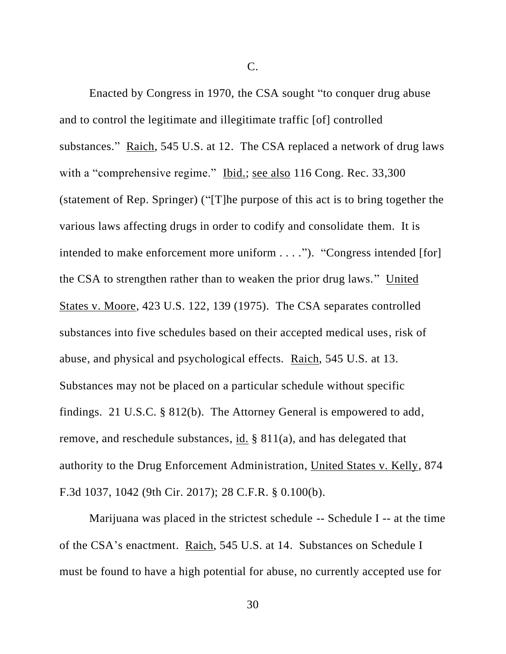C.

Enacted by Congress in 1970, the CSA sought "to conquer drug abuse and to control the legitimate and illegitimate traffic [of] controlled substances." Raich, 545 U.S. at 12. The CSA replaced a network of drug laws with a "comprehensive regime." Ibid.; see also 116 Cong. Rec. 33,300 (statement of Rep. Springer) ("[T]he purpose of this act is to bring together the various laws affecting drugs in order to codify and consolidate them. It is intended to make enforcement more uniform . . . ."). "Congress intended [for] the CSA to strengthen rather than to weaken the prior drug laws." United States v. Moore, 423 U.S. 122, 139 (1975). The CSA separates controlled substances into five schedules based on their accepted medical uses, risk of abuse, and physical and psychological effects. Raich, 545 U.S. at 13. Substances may not be placed on a particular schedule without specific findings. 21 U.S.C. § 812(b). The Attorney General is empowered to add, remove, and reschedule substances, id. § 811(a), and has delegated that authority to the Drug Enforcement Administration, United States v. Kelly, 874 F.3d 1037, 1042 (9th Cir. 2017); 28 C.F.R. § 0.100(b).

Marijuana was placed in the strictest schedule -- Schedule I -- at the time of the CSA's enactment. Raich, 545 U.S. at 14. Substances on Schedule I must be found to have a high potential for abuse, no currently accepted use for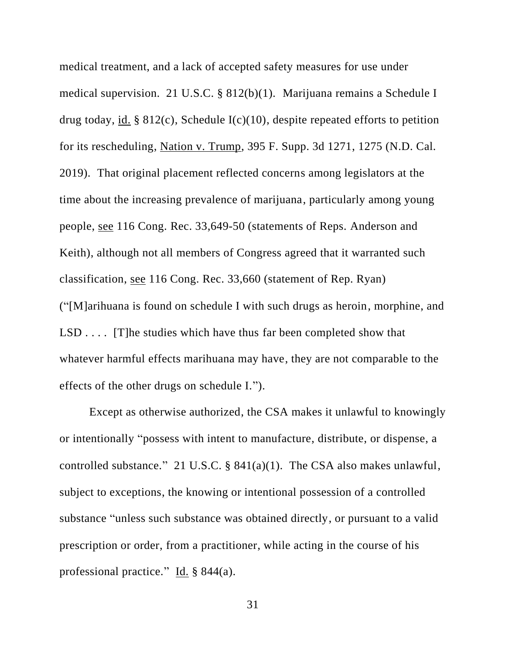medical treatment, and a lack of accepted safety measures for use under medical supervision. 21 U.S.C. § 812(b)(1). Marijuana remains a Schedule I drug today, id. § 812(c), Schedule  $I(c)(10)$ , despite repeated efforts to petition for its rescheduling, Nation v. Trump, 395 F. Supp. 3d 1271, 1275 (N.D. Cal. 2019). That original placement reflected concerns among legislators at the time about the increasing prevalence of marijuana, particularly among young people, see 116 Cong. Rec. 33,649-50 (statements of Reps. Anderson and Keith), although not all members of Congress agreed that it warranted such classification, see 116 Cong. Rec. 33,660 (statement of Rep. Ryan) ("[M]arihuana is found on schedule I with such drugs as heroin, morphine, and LSD . . . . [T]he studies which have thus far been completed show that whatever harmful effects marihuana may have, they are not comparable to the effects of the other drugs on schedule I.").

Except as otherwise authorized, the CSA makes it unlawful to knowingly or intentionally "possess with intent to manufacture, distribute, or dispense, a controlled substance." 21 U.S.C. § 841(a)(1). The CSA also makes unlawful, subject to exceptions, the knowing or intentional possession of a controlled substance "unless such substance was obtained directly, or pursuant to a valid prescription or order, from a practitioner, while acting in the course of his professional practice." Id. § 844(a).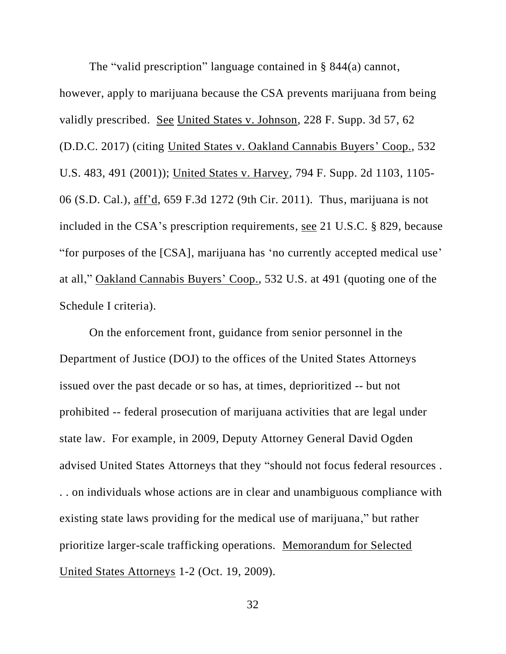The "valid prescription" language contained in § 844(a) cannot, however, apply to marijuana because the CSA prevents marijuana from being validly prescribed. See United States v. Johnson, 228 F. Supp. 3d 57, 62 (D.D.C. 2017) (citing United States v. Oakland Cannabis Buyers' Coop., 532 U.S. 483, 491 (2001)); United States v. Harvey, 794 F. Supp. 2d 1103, 1105- 06 (S.D. Cal.), aff'd, 659 F.3d 1272 (9th Cir. 2011). Thus, marijuana is not included in the CSA's prescription requirements, see 21 U.S.C. § 829, because "for purposes of the [CSA], marijuana has 'no currently accepted medical use' at all," Oakland Cannabis Buyers' Coop., 532 U.S. at 491 (quoting one of the Schedule I criteria).

On the enforcement front, guidance from senior personnel in the Department of Justice (DOJ) to the offices of the United States Attorneys issued over the past decade or so has, at times, deprioritized -- but not prohibited -- federal prosecution of marijuana activities that are legal under state law. For example, in 2009, Deputy Attorney General David Ogden advised United States Attorneys that they "should not focus federal resources . . . on individuals whose actions are in clear and unambiguous compliance with existing state laws providing for the medical use of marijuana," but rather prioritize larger-scale trafficking operations. Memorandum for Selected United States Attorneys 1-2 (Oct. 19, 2009).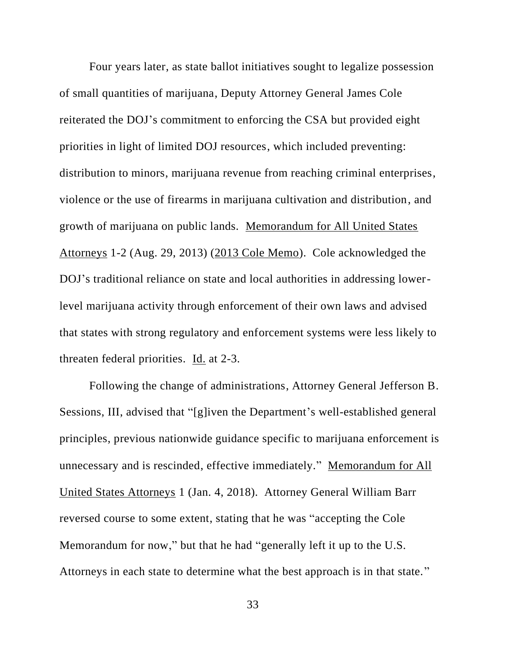Four years later, as state ballot initiatives sought to legalize possession of small quantities of marijuana, Deputy Attorney General James Cole reiterated the DOJ's commitment to enforcing the CSA but provided eight priorities in light of limited DOJ resources, which included preventing: distribution to minors, marijuana revenue from reaching criminal enterprises, violence or the use of firearms in marijuana cultivation and distribution, and growth of marijuana on public lands. Memorandum for All United States Attorneys 1-2 (Aug. 29, 2013) (2013 Cole Memo). Cole acknowledged the DOJ's traditional reliance on state and local authorities in addressing lowerlevel marijuana activity through enforcement of their own laws and advised that states with strong regulatory and enforcement systems were less likely to threaten federal priorities. Id. at 2-3.

Following the change of administrations, Attorney General Jefferson B. Sessions, III, advised that "[g]iven the Department's well-established general principles, previous nationwide guidance specific to marijuana enforcement is unnecessary and is rescinded, effective immediately." Memorandum for All United States Attorneys 1 (Jan. 4, 2018). Attorney General William Barr reversed course to some extent, stating that he was "accepting the Cole Memorandum for now," but that he had "generally left it up to the U.S. Attorneys in each state to determine what the best approach is in that state."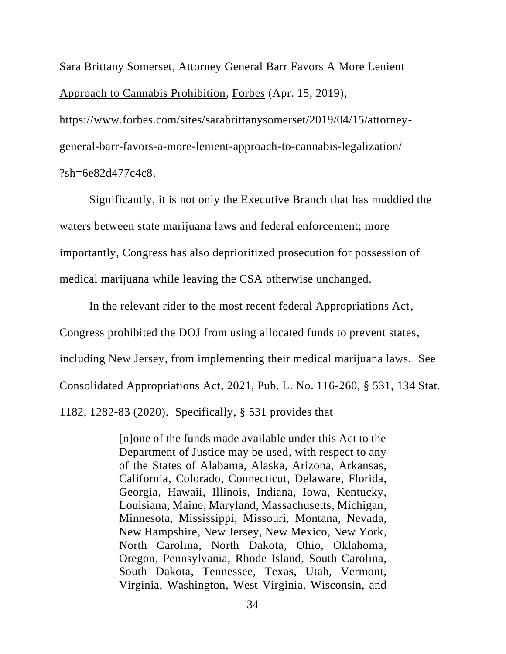Sara Brittany Somerset, Attorney General Barr Favors A More Lenient Approach to Cannabis Prohibition, Forbes (Apr. 15, 2019), https://www.forbes.com/sites/sarabrittanysomerset/2019/04/15/attorneygeneral-barr-favors-a-more-lenient-approach-to-cannabis-legalization/ ?sh=6e82d477c4c8.

Significantly, it is not only the Executive Branch that has muddied the waters between state marijuana laws and federal enforcement; more importantly, Congress has also deprioritized prosecution for possession of medical marijuana while leaving the CSA otherwise unchanged.

In the relevant rider to the most recent federal Appropriations Act, Congress prohibited the DOJ from using allocated funds to prevent states, including New Jersey, from implementing their medical marijuana laws. See Consolidated Appropriations Act, 2021, Pub. L. No. 116-260, § 531, 134 Stat. 1182, 1282-83 (2020). Specifically, § 531 provides that

> [n]one of the funds made available under this Act to the Department of Justice may be used, with respect to any of the States of Alabama, Alaska, Arizona, Arkansas, California, Colorado, Connecticut, Delaware, Florida, Georgia, Hawaii, Illinois, Indiana, Iowa, Kentucky, Louisiana, Maine, Maryland, Massachusetts, Michigan, Minnesota, Mississippi, Missouri, Montana, Nevada, New Hampshire, New Jersey, New Mexico, New York, North Carolina, North Dakota, Ohio, Oklahoma, Oregon, Pennsylvania, Rhode Island, South Carolina, South Dakota, Tennessee, Texas, Utah, Vermont, Virginia, Washington, West Virginia, Wisconsin, and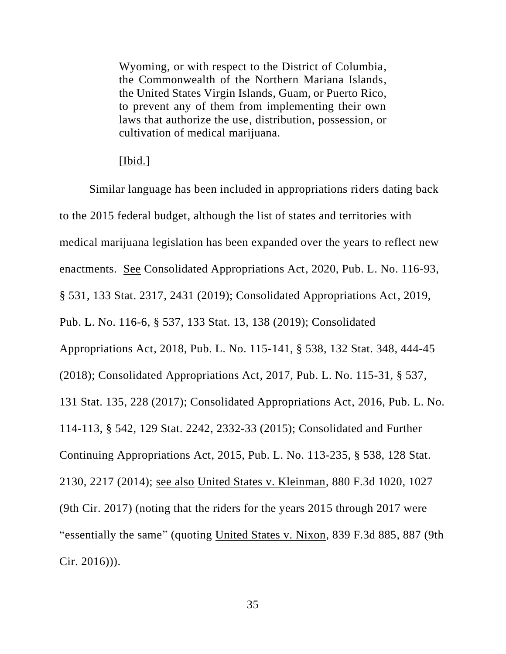Wyoming, or with respect to the District of Columbia, the Commonwealth of the Northern Mariana Islands, the United States Virgin Islands, Guam, or Puerto Rico, to prevent any of them from implementing their own laws that authorize the use, distribution, possession, or cultivation of medical marijuana.

# [Ibid.]

Similar language has been included in appropriations riders dating back to the 2015 federal budget, although the list of states and territories with medical marijuana legislation has been expanded over the years to reflect new enactments. See Consolidated Appropriations Act, 2020, Pub. L. No. 116-93, § 531, 133 Stat. 2317, 2431 (2019); Consolidated Appropriations Act, 2019, Pub. L. No. 116-6, § 537, 133 Stat. 13, 138 (2019); Consolidated Appropriations Act, 2018, Pub. L. No. 115-141, § 538, 132 Stat. 348, 444-45 (2018); Consolidated Appropriations Act, 2017, Pub. L. No. 115-31, § 537, 131 Stat. 135, 228 (2017); Consolidated Appropriations Act, 2016, Pub. L. No. 114-113, § 542, 129 Stat. 2242, 2332-33 (2015); Consolidated and Further Continuing Appropriations Act, 2015, Pub. L. No. 113-235, § 538, 128 Stat. 2130, 2217 (2014); see also United States v. Kleinman, 880 F.3d 1020, 1027 (9th Cir. 2017) (noting that the riders for the years 2015 through 2017 were "essentially the same" (quoting United States v. Nixon, 839 F.3d 885, 887 (9th Cir. 2016))).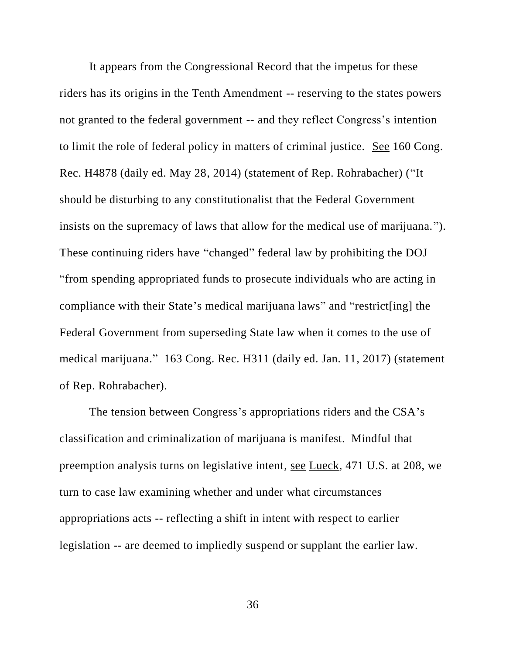It appears from the Congressional Record that the impetus for these riders has its origins in the Tenth Amendment -- reserving to the states powers not granted to the federal government -- and they reflect Congress's intention to limit the role of federal policy in matters of criminal justice. See 160 Cong. Rec. H4878 (daily ed. May 28, 2014) (statement of Rep. Rohrabacher) ("It should be disturbing to any constitutionalist that the Federal Government insists on the supremacy of laws that allow for the medical use of marijuana."). These continuing riders have "changed" federal law by prohibiting the DOJ "from spending appropriated funds to prosecute individuals who are acting in compliance with their State's medical marijuana laws" and "restrict[ing] the Federal Government from superseding State law when it comes to the use of medical marijuana." 163 Cong. Rec. H311 (daily ed. Jan. 11, 2017) (statement of Rep. Rohrabacher).

The tension between Congress's appropriations riders and the CSA's classification and criminalization of marijuana is manifest. Mindful that preemption analysis turns on legislative intent, see Lueck, 471 U.S. at 208, we turn to case law examining whether and under what circumstances appropriations acts -- reflecting a shift in intent with respect to earlier legislation -- are deemed to impliedly suspend or supplant the earlier law.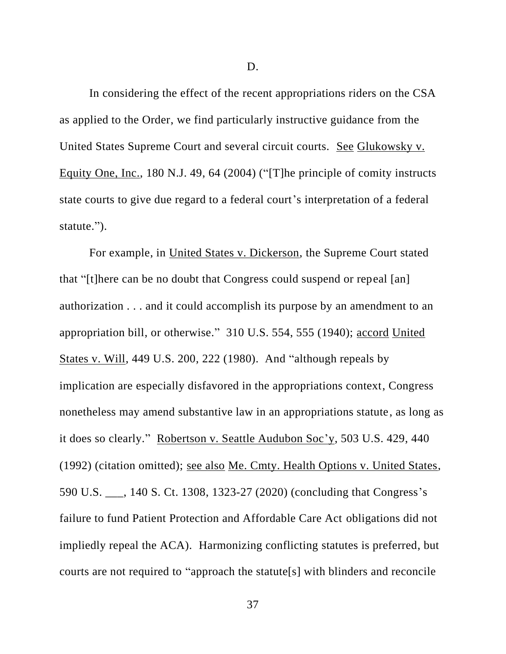D.

In considering the effect of the recent appropriations riders on the CSA as applied to the Order, we find particularly instructive guidance from the United States Supreme Court and several circuit courts. See Glukowsky v. Equity One, Inc., 180 N.J. 49, 64 (2004) ("[T]he principle of comity instructs state courts to give due regard to a federal court's interpretation of a federal statute.").

For example, in United States v. Dickerson, the Supreme Court stated that "[t]here can be no doubt that Congress could suspend or repeal [an] authorization . . . and it could accomplish its purpose by an amendment to an appropriation bill, or otherwise." 310 U.S. 554, 555 (1940); accord United States v. Will, 449 U.S. 200, 222 (1980). And "although repeals by implication are especially disfavored in the appropriations context, Congress nonetheless may amend substantive law in an appropriations statute, as long as it does so clearly." Robertson v. Seattle Audubon Soc'y, 503 U.S. 429, 440 (1992) (citation omitted); see also Me. Cmty. Health Options v. United States, 590 U.S. \_\_\_, 140 S. Ct. 1308, 1323-27 (2020) (concluding that Congress's failure to fund Patient Protection and Affordable Care Act obligations did not impliedly repeal the ACA). Harmonizing conflicting statutes is preferred, but courts are not required to "approach the statute[s] with blinders and reconcile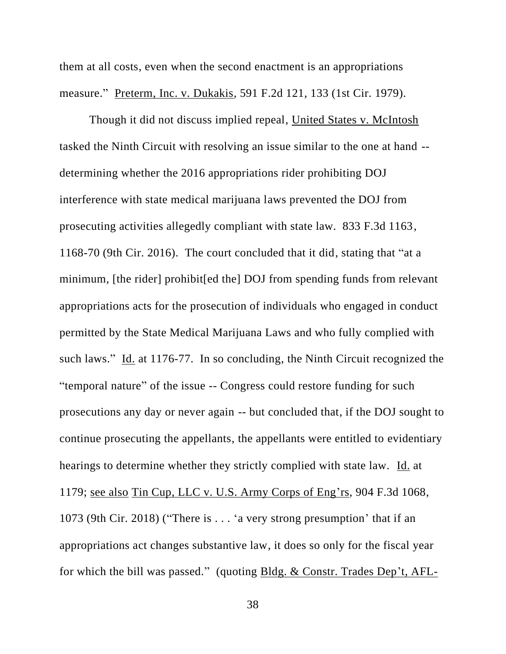them at all costs, even when the second enactment is an appropriations measure." Preterm, Inc. v. Dukakis, 591 F.2d 121, 133 (1st Cir. 1979).

Though it did not discuss implied repeal, United States v. McIntosh tasked the Ninth Circuit with resolving an issue similar to the one at hand - determining whether the 2016 appropriations rider prohibiting DOJ interference with state medical marijuana laws prevented the DOJ from prosecuting activities allegedly compliant with state law. 833 F.3d 1163, 1168-70 (9th Cir. 2016). The court concluded that it did, stating that "at a minimum, [the rider] prohibit[ed the] DOJ from spending funds from relevant appropriations acts for the prosecution of individuals who engaged in conduct permitted by the State Medical Marijuana Laws and who fully complied with such laws." Id. at 1176-77. In so concluding, the Ninth Circuit recognized the "temporal nature" of the issue -- Congress could restore funding for such prosecutions any day or never again -- but concluded that, if the DOJ sought to continue prosecuting the appellants, the appellants were entitled to evidentiary hearings to determine whether they strictly complied with state law. Id. at 1179; see also Tin Cup, LLC v. U.S. Army Corps of Eng'rs, 904 F.3d 1068, 1073 (9th Cir. 2018) ("There is . . . 'a very strong presumption' that if an appropriations act changes substantive law, it does so only for the fiscal year for which the bill was passed." (quoting Bldg. & Constr. Trades Dep't, AFL-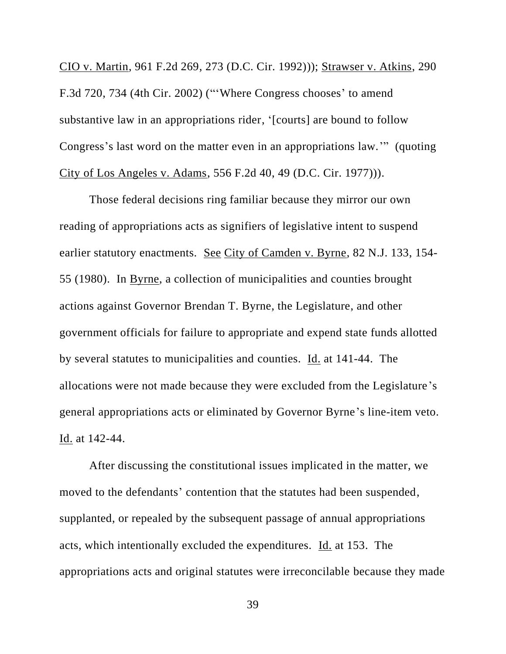CIO v. Martin, 961 F.2d 269, 273 (D.C. Cir. 1992))); Strawser v. Atkins, 290 F.3d 720, 734 (4th Cir. 2002) ("'Where Congress chooses' to amend substantive law in an appropriations rider, '[courts] are bound to follow Congress's last word on the matter even in an appropriations law.'" (quoting City of Los Angeles v. Adams, 556 F.2d 40, 49 (D.C. Cir. 1977))).

Those federal decisions ring familiar because they mirror our own reading of appropriations acts as signifiers of legislative intent to suspend earlier statutory enactments. See City of Camden v. Byrne, 82 N.J. 133, 154- 55 (1980). In Byrne, a collection of municipalities and counties brought actions against Governor Brendan T. Byrne, the Legislature, and other government officials for failure to appropriate and expend state funds allotted by several statutes to municipalities and counties. Id. at 141-44. The allocations were not made because they were excluded from the Legislature's general appropriations acts or eliminated by Governor Byrne's line-item veto. Id. at 142-44.

After discussing the constitutional issues implicated in the matter, we moved to the defendants' contention that the statutes had been suspended, supplanted, or repealed by the subsequent passage of annual appropriations acts, which intentionally excluded the expenditures. Id. at 153. The appropriations acts and original statutes were irreconcilable because they made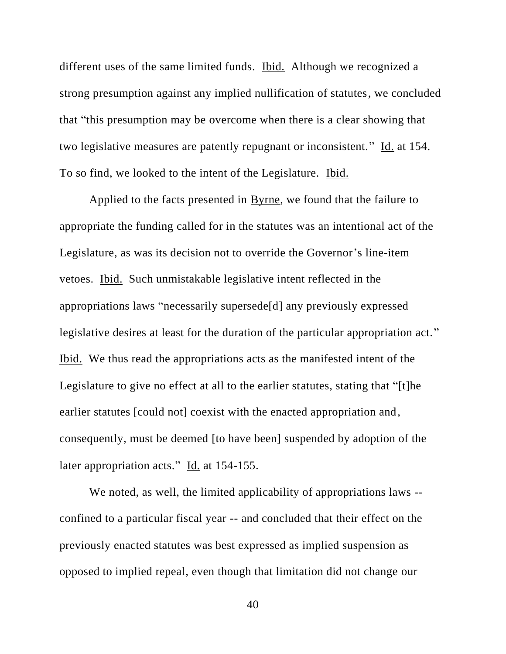different uses of the same limited funds. Ibid. Although we recognized a strong presumption against any implied nullification of statutes, we concluded that "this presumption may be overcome when there is a clear showing that two legislative measures are patently repugnant or inconsistent." Id. at 154. To so find, we looked to the intent of the Legislature. Ibid.

Applied to the facts presented in Byrne, we found that the failure to appropriate the funding called for in the statutes was an intentional act of the Legislature, as was its decision not to override the Governor's line-item vetoes. Ibid. Such unmistakable legislative intent reflected in the appropriations laws "necessarily supersede[d] any previously expressed legislative desires at least for the duration of the particular appropriation act." Ibid. We thus read the appropriations acts as the manifested intent of the Legislature to give no effect at all to the earlier statutes, stating that "[t]he earlier statutes [could not] coexist with the enacted appropriation and, consequently, must be deemed [to have been] suspended by adoption of the later appropriation acts." Id. at 154-155.

We noted, as well, the limited applicability of appropriations laws -confined to a particular fiscal year -- and concluded that their effect on the previously enacted statutes was best expressed as implied suspension as opposed to implied repeal, even though that limitation did not change our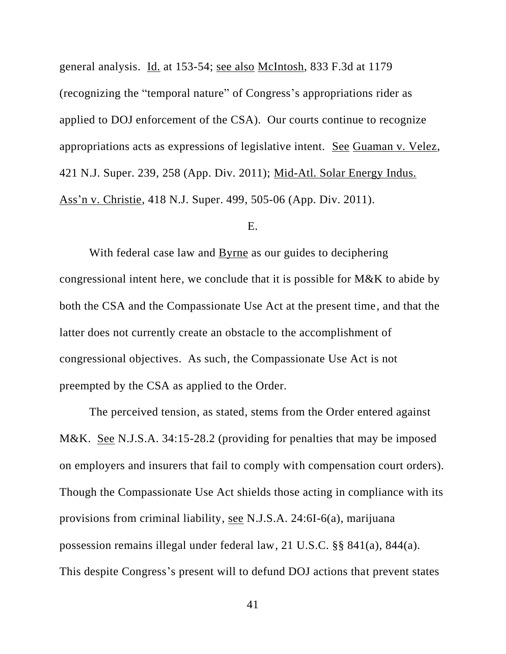general analysis. Id. at 153-54; see also McIntosh, 833 F.3d at 1179 (recognizing the "temporal nature" of Congress's appropriations rider as applied to DOJ enforcement of the CSA). Our courts continue to recognize appropriations acts as expressions of legislative intent. See Guaman v. Velez, 421 N.J. Super. 239, 258 (App. Div. 2011); Mid-Atl. Solar Energy Indus. Ass'n v. Christie, 418 N.J. Super. 499, 505-06 (App. Div. 2011).

## E.

With federal case law and Byrne as our guides to deciphering congressional intent here, we conclude that it is possible for M&K to abide by both the CSA and the Compassionate Use Act at the present time, and that the latter does not currently create an obstacle to the accomplishment of congressional objectives. As such, the Compassionate Use Act is not preempted by the CSA as applied to the Order.

The perceived tension, as stated, stems from the Order entered against M&K. See N.J.S.A. 34:15-28.2 (providing for penalties that may be imposed on employers and insurers that fail to comply with compensation court orders). Though the Compassionate Use Act shields those acting in compliance with its provisions from criminal liability, see N.J.S.A. 24:6I-6(a), marijuana possession remains illegal under federal law, 21 U.S.C. §§ 841(a), 844(a). This despite Congress's present will to defund DOJ actions that prevent states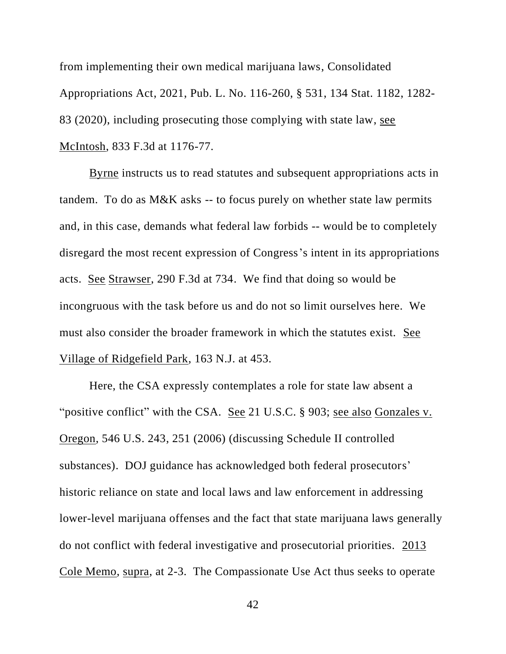from implementing their own medical marijuana laws, Consolidated Appropriations Act, 2021, Pub. L. No. 116-260, § 531, 134 Stat. 1182, 1282- 83 (2020), including prosecuting those complying with state law, see McIntosh, 833 F.3d at 1176-77.

Byrne instructs us to read statutes and subsequent appropriations acts in tandem. To do as M&K asks -- to focus purely on whether state law permits and, in this case, demands what federal law forbids -- would be to completely disregard the most recent expression of Congress's intent in its appropriations acts. See Strawser, 290 F.3d at 734. We find that doing so would be incongruous with the task before us and do not so limit ourselves here. We must also consider the broader framework in which the statutes exist. See Village of Ridgefield Park, 163 N.J. at 453.

Here, the CSA expressly contemplates a role for state law absent a "positive conflict" with the CSA. See 21 U.S.C. § 903; see also Gonzales v. Oregon, 546 U.S. 243, 251 (2006) (discussing Schedule II controlled substances). DOJ guidance has acknowledged both federal prosecutors' historic reliance on state and local laws and law enforcement in addressing lower-level marijuana offenses and the fact that state marijuana laws generally do not conflict with federal investigative and prosecutorial priorities. 2013 Cole Memo, supra, at 2-3. The Compassionate Use Act thus seeks to operate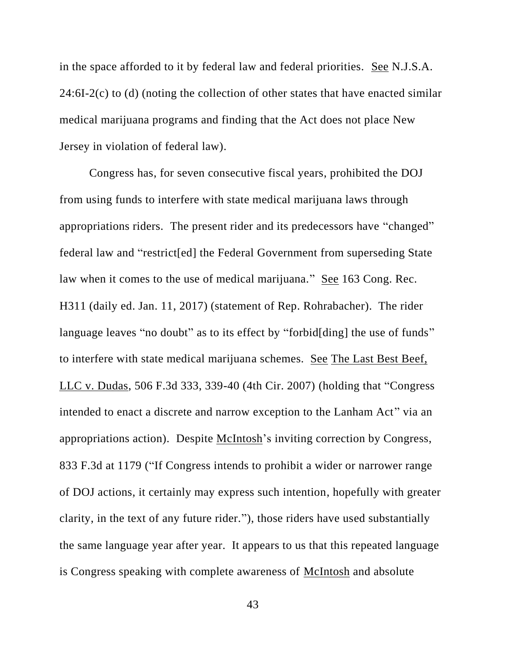in the space afforded to it by federal law and federal priorities. See N.J.S.A.  $24:6I-2(c)$  to (d) (noting the collection of other states that have enacted similar medical marijuana programs and finding that the Act does not place New Jersey in violation of federal law).

Congress has, for seven consecutive fiscal years, prohibited the DOJ from using funds to interfere with state medical marijuana laws through appropriations riders. The present rider and its predecessors have "changed" federal law and "restrict[ed] the Federal Government from superseding State law when it comes to the use of medical marijuana." See 163 Cong. Rec. H311 (daily ed. Jan. 11, 2017) (statement of Rep. Rohrabacher). The rider language leaves "no doubt" as to its effect by "forbid[ding] the use of funds" to interfere with state medical marijuana schemes. See The Last Best Beef, LLC v. Dudas, 506 F.3d 333, 339-40 (4th Cir. 2007) (holding that "Congress intended to enact a discrete and narrow exception to the Lanham Act" via an appropriations action). Despite McIntosh's inviting correction by Congress, 833 F.3d at 1179 ("If Congress intends to prohibit a wider or narrower range of DOJ actions, it certainly may express such intention, hopefully with greater clarity, in the text of any future rider."), those riders have used substantially the same language year after year. It appears to us that this repeated language is Congress speaking with complete awareness of McIntosh and absolute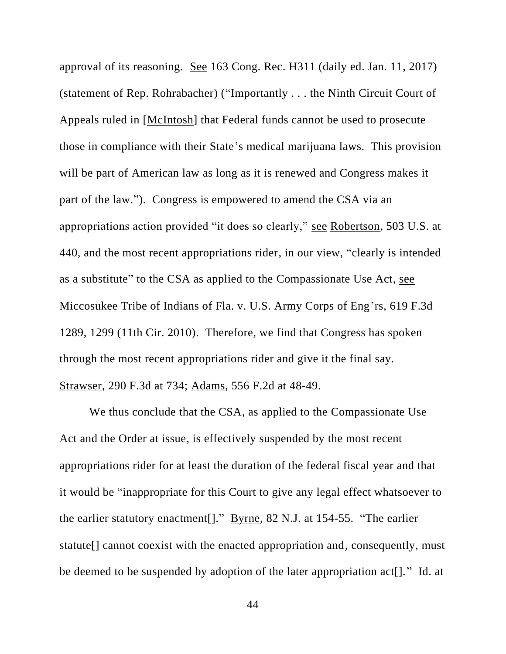approval of its reasoning. See 163 Cong. Rec. H311 (daily ed. Jan. 11, 2017) (statement of Rep. Rohrabacher) ("Importantly . . . the Ninth Circuit Court of Appeals ruled in [McIntosh] that Federal funds cannot be used to prosecute those in compliance with their State's medical marijuana laws. This provision will be part of American law as long as it is renewed and Congress makes it part of the law."). Congress is empowered to amend the CSA via an appropriations action provided "it does so clearly," see Robertson, 503 U.S. at 440, and the most recent appropriations rider, in our view, "clearly is intended as a substitute" to the CSA as applied to the Compassionate Use Act, see Miccosukee Tribe of Indians of Fla. v. U.S. Army Corps of Eng'rs, 619 F.3d 1289, 1299 (11th Cir. 2010). Therefore, we find that Congress has spoken through the most recent appropriations rider and give it the final say. Strawser, 290 F.3d at 734; Adams, 556 F.2d at 48-49.

We thus conclude that the CSA, as applied to the Compassionate Use Act and the Order at issue, is effectively suspended by the most recent appropriations rider for at least the duration of the federal fiscal year and that it would be "inappropriate for this Court to give any legal effect whatsoever to the earlier statutory enactment[]." Byrne, 82 N.J. at 154-55. "The earlier statute[] cannot coexist with the enacted appropriation and, consequently, must be deemed to be suspended by adoption of the later appropriation act[]." Id. at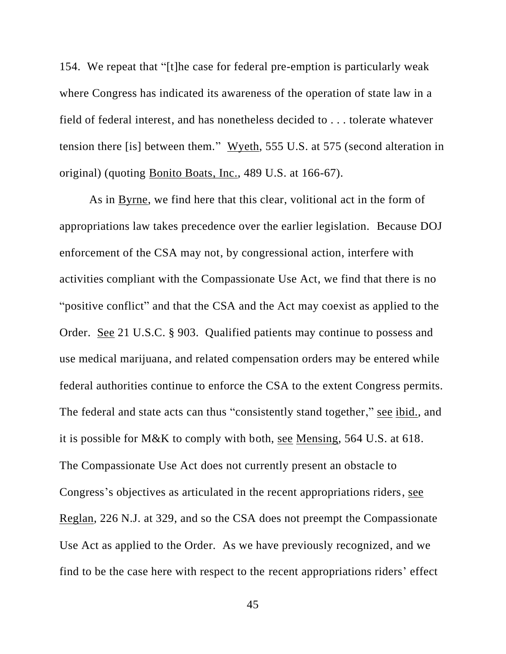154. We repeat that "[t]he case for federal pre-emption is particularly weak where Congress has indicated its awareness of the operation of state law in a field of federal interest, and has nonetheless decided to . . . tolerate whatever tension there [is] between them." Wyeth, 555 U.S. at 575 (second alteration in original) (quoting Bonito Boats, Inc., 489 U.S. at 166-67).

As in Byrne, we find here that this clear, volitional act in the form of appropriations law takes precedence over the earlier legislation. Because DOJ enforcement of the CSA may not, by congressional action, interfere with activities compliant with the Compassionate Use Act, we find that there is no "positive conflict" and that the CSA and the Act may coexist as applied to the Order. See 21 U.S.C. § 903. Qualified patients may continue to possess and use medical marijuana, and related compensation orders may be entered while federal authorities continue to enforce the CSA to the extent Congress permits. The federal and state acts can thus "consistently stand together," see ibid., and it is possible for M&K to comply with both, see Mensing, 564 U.S. at 618. The Compassionate Use Act does not currently present an obstacle to Congress's objectives as articulated in the recent appropriations riders, see Reglan, 226 N.J. at 329, and so the CSA does not preempt the Compassionate Use Act as applied to the Order. As we have previously recognized, and we find to be the case here with respect to the recent appropriations riders' effect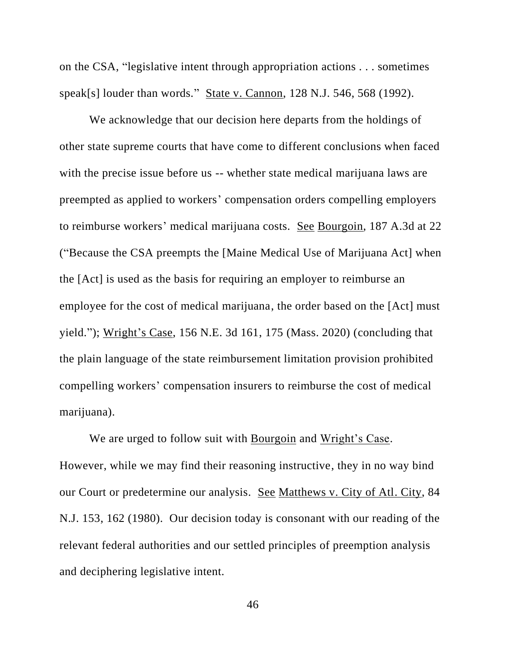on the CSA, "legislative intent through appropriation actions . . . sometimes speak[s] louder than words." State v. Cannon, 128 N.J. 546, 568 (1992).

We acknowledge that our decision here departs from the holdings of other state supreme courts that have come to different conclusions when faced with the precise issue before us -- whether state medical marijuana laws are preempted as applied to workers' compensation orders compelling employers to reimburse workers' medical marijuana costs. See Bourgoin, 187 A.3d at 22 ("Because the CSA preempts the [Maine Medical Use of Marijuana Act] when the [Act] is used as the basis for requiring an employer to reimburse an employee for the cost of medical marijuana, the order based on the [Act] must yield."); Wright's Case, 156 N.E. 3d 161, 175 (Mass. 2020) (concluding that the plain language of the state reimbursement limitation provision prohibited compelling workers' compensation insurers to reimburse the cost of medical marijuana).

We are urged to follow suit with Bourgoin and Wright's Case. However, while we may find their reasoning instructive, they in no way bind our Court or predetermine our analysis. See Matthews v. City of Atl. City, 84 N.J. 153, 162 (1980). Our decision today is consonant with our reading of the relevant federal authorities and our settled principles of preemption analysis and deciphering legislative intent.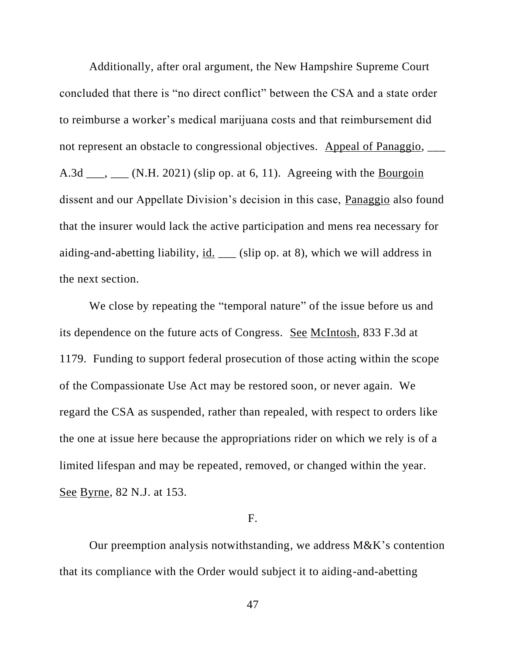Additionally, after oral argument, the New Hampshire Supreme Court concluded that there is "no direct conflict" between the CSA and a state order to reimburse a worker's medical marijuana costs and that reimbursement did not represent an obstacle to congressional objectives. Appeal of Panaggio, A.3d  $\_\_\_\_\_\_\_\_\_\_\_\_\_\_\_\_\_\_$ . (N.H. 2021) (slip op. at 6, 11). Agreeing with the Bourgoin dissent and our Appellate Division's decision in this case, Panaggio also found that the insurer would lack the active participation and mens rea necessary for aiding-and-abetting liability,  $\underline{\text{id}}$ . \_\_\_ (slip op. at 8), which we will address in the next section.

We close by repeating the "temporal nature" of the issue before us and its dependence on the future acts of Congress. See McIntosh, 833 F.3d at 1179. Funding to support federal prosecution of those acting within the scope of the Compassionate Use Act may be restored soon, or never again. We regard the CSA as suspended, rather than repealed, with respect to orders like the one at issue here because the appropriations rider on which we rely is of a limited lifespan and may be repeated, removed, or changed within the year. See Byrne, 82 N.J. at 153.

# F.

Our preemption analysis notwithstanding, we address M&K's contention that its compliance with the Order would subject it to aiding-and-abetting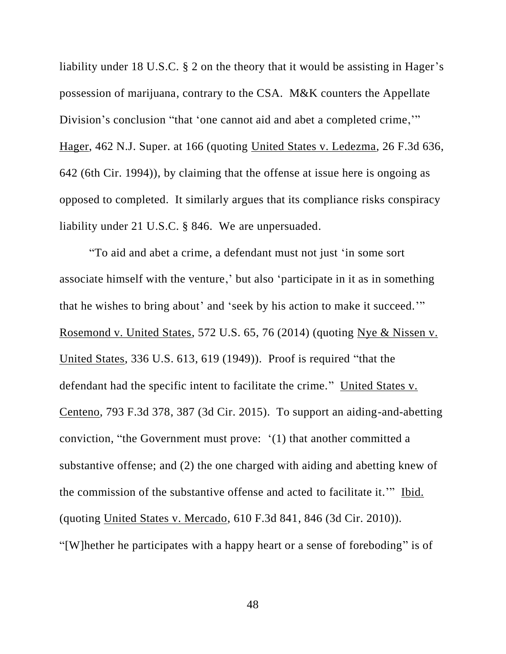liability under 18 U.S.C. § 2 on the theory that it would be assisting in Hager's possession of marijuana, contrary to the CSA. M&K counters the Appellate Division's conclusion "that 'one cannot aid and abet a completed crime,'" Hager, 462 N.J. Super. at 166 (quoting United States v. Ledezma, 26 F.3d 636, 642 (6th Cir. 1994)), by claiming that the offense at issue here is ongoing as opposed to completed. It similarly argues that its compliance risks conspiracy liability under 21 U.S.C. § 846. We are unpersuaded.

"To aid and abet a crime, a defendant must not just 'in some sort associate himself with the venture,' but also 'participate in it as in something that he wishes to bring about' and 'seek by his action to make it succeed.'" Rosemond v. United States, 572 U.S. 65, 76 (2014) (quoting Nye & Nissen v. United States, 336 U.S. 613, 619 (1949)). Proof is required "that the defendant had the specific intent to facilitate the crime." United States v. Centeno, 793 F.3d 378, 387 (3d Cir. 2015). To support an aiding-and-abetting conviction, "the Government must prove: '(1) that another committed a substantive offense; and (2) the one charged with aiding and abetting knew of the commission of the substantive offense and acted to facilitate it.'" Ibid. (quoting United States v. Mercado, 610 F.3d 841, 846 (3d Cir. 2010)). "[W]hether he participates with a happy heart or a sense of foreboding" is of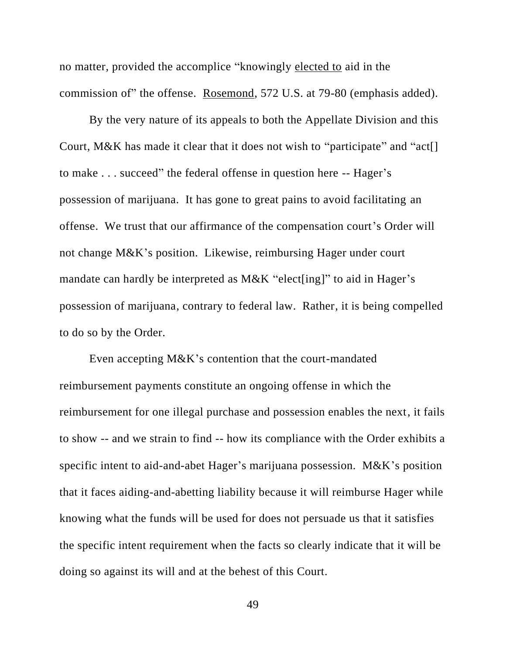no matter, provided the accomplice "knowingly elected to aid in the commission of" the offense. Rosemond, 572 U.S. at 79-80 (emphasis added).

By the very nature of its appeals to both the Appellate Division and this Court, M&K has made it clear that it does not wish to "participate" and "act[] to make . . . succeed" the federal offense in question here -- Hager's possession of marijuana. It has gone to great pains to avoid facilitating an offense. We trust that our affirmance of the compensation court's Order will not change M&K's position. Likewise, reimbursing Hager under court mandate can hardly be interpreted as M&K "elect[ing]" to aid in Hager's possession of marijuana, contrary to federal law. Rather, it is being compelled to do so by the Order.

Even accepting M&K's contention that the court-mandated reimbursement payments constitute an ongoing offense in which the reimbursement for one illegal purchase and possession enables the next, it fails to show -- and we strain to find -- how its compliance with the Order exhibits a specific intent to aid-and-abet Hager's marijuana possession. M&K's position that it faces aiding-and-abetting liability because it will reimburse Hager while knowing what the funds will be used for does not persuade us that it satisfies the specific intent requirement when the facts so clearly indicate that it will be doing so against its will and at the behest of this Court.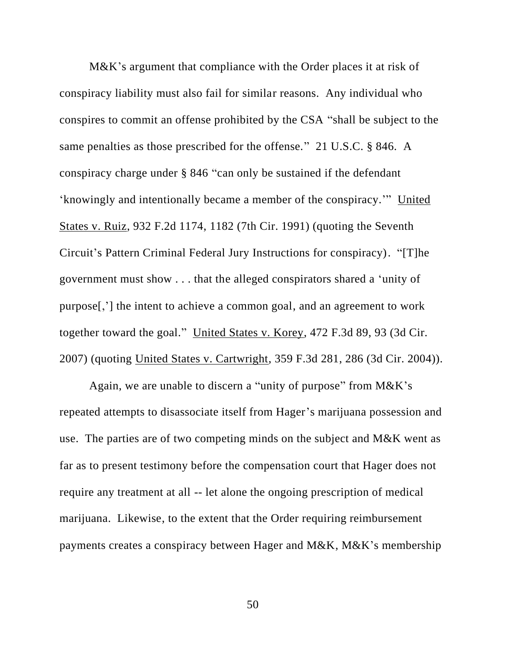M&K's argument that compliance with the Order places it at risk of conspiracy liability must also fail for similar reasons. Any individual who conspires to commit an offense prohibited by the CSA "shall be subject to the same penalties as those prescribed for the offense." 21 U.S.C. § 846. A conspiracy charge under § 846 "can only be sustained if the defendant 'knowingly and intentionally became a member of the conspiracy.'" United States v. Ruiz, 932 F.2d 1174, 1182 (7th Cir. 1991) (quoting the Seventh Circuit's Pattern Criminal Federal Jury Instructions for conspiracy). "[T]he government must show . . . that the alleged conspirators shared a 'unity of purpose[,'] the intent to achieve a common goal, and an agreement to work together toward the goal." United States v. Korey, 472 F.3d 89, 93 (3d Cir. 2007) (quoting United States v. Cartwright, 359 F.3d 281, 286 (3d Cir. 2004)).

Again, we are unable to discern a "unity of purpose" from M&K's repeated attempts to disassociate itself from Hager's marijuana possession and use. The parties are of two competing minds on the subject and M&K went as far as to present testimony before the compensation court that Hager does not require any treatment at all -- let alone the ongoing prescription of medical marijuana. Likewise, to the extent that the Order requiring reimbursement payments creates a conspiracy between Hager and M&K, M&K's membership